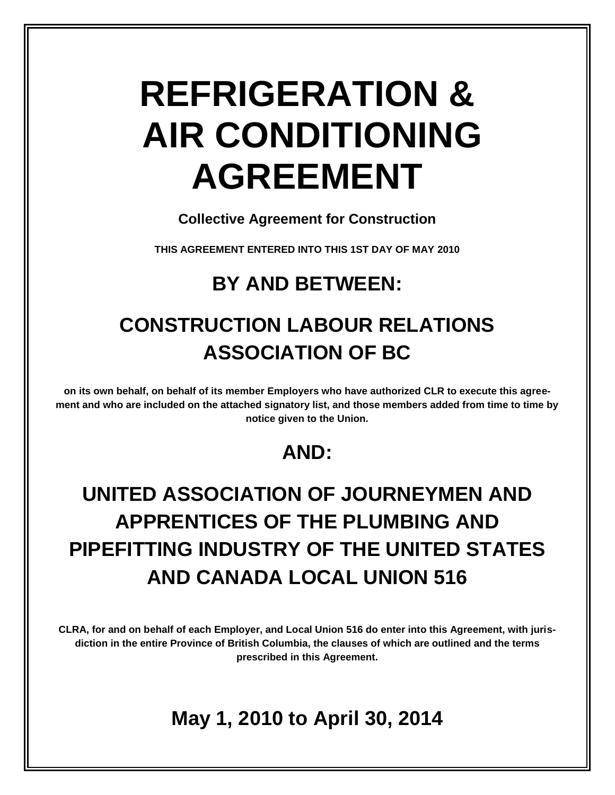# **REFRIGERATION & AIR CONDITIONING AGREEMENT**

**Collective Agreement for Construction** 

**THIS AGREEMENT ENTERED INTO THIS 1ST DAY OF MAY 2010**

# **BY AND BETWEEN:**

# **CONSTRUCTION LABOUR RELATIONS ASSOCIATION OF BC**

**on its own behalf, on behalf of its member Employers who have authorized CLR to execute this agreement and who are included on the attached signatory list, and those members added from time to time by notice given to the Union.**

# **AND:**

# **UNITED ASSOCIATION OF JOURNEYMEN AND APPRENTICES OF THE PLUMBING AND PIPEFITTING INDUSTRY OF THE UNITED STATES AND CANADA LOCAL UNION 516**

**CLRA, for and on behalf of each Employer, and Local Union 516 do enter into this Agreement, with jurisdiction in the entire Province of British Columbia, the clauses of which are outlined and the terms prescribed in this Agreement.**

# **May 1, 2010 to April 30, 2014**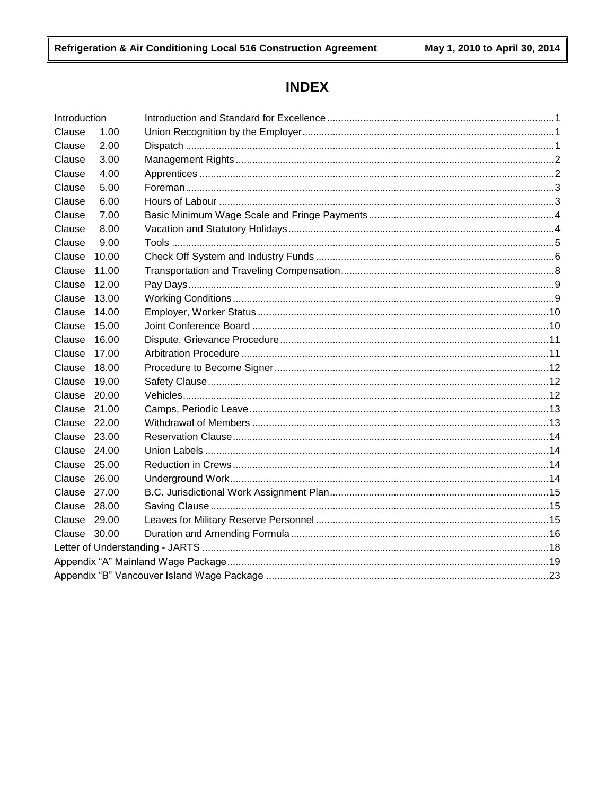# **INDEX**

| Introduction |       |  |
|--------------|-------|--|
| Clause       | 1.00  |  |
| Clause       | 2.00  |  |
| Clause       | 3.00  |  |
| Clause       | 4.00  |  |
| Clause       | 5.00  |  |
| Clause       | 6.00  |  |
| Clause       | 7.00  |  |
| Clause       | 8.00  |  |
| Clause       | 9.00  |  |
| Clause       | 10.00 |  |
| Clause       | 11.00 |  |
| Clause       | 12.00 |  |
| Clause       | 13.00 |  |
| Clause       | 14.00 |  |
| Clause       | 15.00 |  |
| Clause       | 16.00 |  |
| Clause       | 17.00 |  |
| Clause       | 18.00 |  |
| Clause       | 19.00 |  |
| Clause 20.00 |       |  |
| Clause 21.00 |       |  |
| Clause 22.00 |       |  |
| Clause 23.00 |       |  |
| Clause 24.00 |       |  |
| Clause 25.00 |       |  |
| Clause 26.00 |       |  |
| Clause 27.00 |       |  |
| Clause 28.00 |       |  |
| Clause 29.00 |       |  |
| Clause 30.00 |       |  |
|              |       |  |
|              |       |  |
|              |       |  |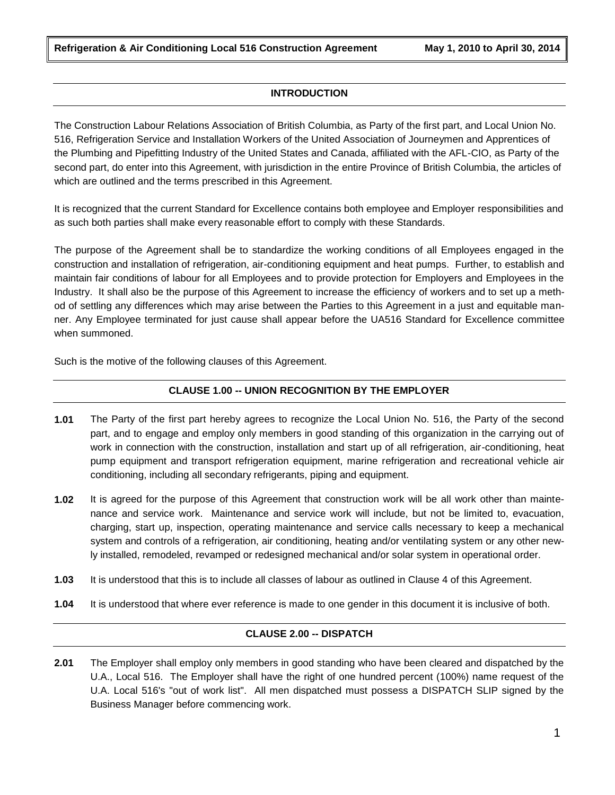# **INTRODUCTION**

The Construction Labour Relations Association of British Columbia, as Party of the first part, and Local Union No. 516, Refrigeration Service and Installation Workers of the United Association of Journeymen and Apprentices of the Plumbing and Pipefitting Industry of the United States and Canada, affiliated with the AFL-CIO, as Party of the second part, do enter into this Agreement, with jurisdiction in the entire Province of British Columbia, the articles of which are outlined and the terms prescribed in this Agreement.

It is recognized that the current Standard for Excellence contains both employee and Employer responsibilities and as such both parties shall make every reasonable effort to comply with these Standards.

The purpose of the Agreement shall be to standardize the working conditions of all Employees engaged in the construction and installation of refrigeration, air-conditioning equipment and heat pumps. Further, to establish and maintain fair conditions of labour for all Employees and to provide protection for Employers and Employees in the Industry. It shall also be the purpose of this Agreement to increase the efficiency of workers and to set up a method of settling any differences which may arise between the Parties to this Agreement in a just and equitable manner. Any Employee terminated for just cause shall appear before the UA516 Standard for Excellence committee when summoned.

Such is the motive of the following clauses of this Agreement.

# **CLAUSE 1.00 -- UNION RECOGNITION BY THE EMPLOYER**

- **1.01** The Party of the first part hereby agrees to recognize the Local Union No. 516, the Party of the second part, and to engage and employ only members in good standing of this organization in the carrying out of work in connection with the construction, installation and start up of all refrigeration, air-conditioning, heat pump equipment and transport refrigeration equipment, marine refrigeration and recreational vehicle air conditioning, including all secondary refrigerants, piping and equipment.
- **1.02** It is agreed for the purpose of this Agreement that construction work will be all work other than maintenance and service work. Maintenance and service work will include, but not be limited to, evacuation, charging, start up, inspection, operating maintenance and service calls necessary to keep a mechanical system and controls of a refrigeration, air conditioning, heating and/or ventilating system or any other newly installed, remodeled, revamped or redesigned mechanical and/or solar system in operational order.
- **1.03** It is understood that this is to include all classes of labour as outlined in Clause 4 of this Agreement.
- **1.04** It is understood that where ever reference is made to one gender in this document it is inclusive of both.

# **CLAUSE 2.00 -- DISPATCH**

**2.01** The Employer shall employ only members in good standing who have been cleared and dispatched by the U.A., Local 516. The Employer shall have the right of one hundred percent (100%) name request of the U.A. Local 516's "out of work list". All men dispatched must possess a DISPATCH SLIP signed by the Business Manager before commencing work.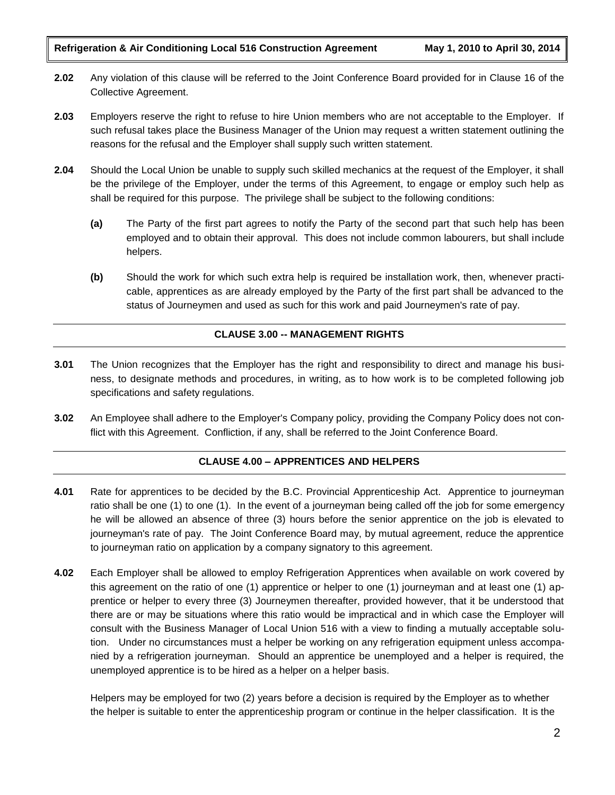- **2.02** Any violation of this clause will be referred to the Joint Conference Board provided for in Clause 16 of the Collective Agreement.
- **2.03** Employers reserve the right to refuse to hire Union members who are not acceptable to the Employer. If such refusal takes place the Business Manager of the Union may request a written statement outlining the reasons for the refusal and the Employer shall supply such written statement.
- **2.04** Should the Local Union be unable to supply such skilled mechanics at the request of the Employer, it shall be the privilege of the Employer, under the terms of this Agreement, to engage or employ such help as shall be required for this purpose. The privilege shall be subject to the following conditions:
	- **(a)** The Party of the first part agrees to notify the Party of the second part that such help has been employed and to obtain their approval. This does not include common labourers, but shall include helpers.
	- **(b)** Should the work for which such extra help is required be installation work, then, whenever practicable, apprentices as are already employed by the Party of the first part shall be advanced to the status of Journeymen and used as such for this work and paid Journeymen's rate of pay.

# **CLAUSE 3.00 -- MANAGEMENT RIGHTS**

- **3.01** The Union recognizes that the Employer has the right and responsibility to direct and manage his business, to designate methods and procedures, in writing, as to how work is to be completed following job specifications and safety regulations.
- **3.02** An Employee shall adhere to the Employer's Company policy, providing the Company Policy does not conflict with this Agreement. Confliction, if any, shall be referred to the Joint Conference Board.

# **CLAUSE 4.00 – APPRENTICES AND HELPERS**

- **4.01** Rate for apprentices to be decided by the B.C. Provincial Apprenticeship Act. Apprentice to journeyman ratio shall be one (1) to one (1). In the event of a journeyman being called off the job for some emergency he will be allowed an absence of three (3) hours before the senior apprentice on the job is elevated to journeyman's rate of pay. The Joint Conference Board may, by mutual agreement, reduce the apprentice to journeyman ratio on application by a company signatory to this agreement.
- **4.02** Each Employer shall be allowed to employ Refrigeration Apprentices when available on work covered by this agreement on the ratio of one (1) apprentice or helper to one (1) journeyman and at least one (1) apprentice or helper to every three (3) Journeymen thereafter, provided however, that it be understood that there are or may be situations where this ratio would be impractical and in which case the Employer will consult with the Business Manager of Local Union 516 with a view to finding a mutually acceptable solution. Under no circumstances must a helper be working on any refrigeration equipment unless accompanied by a refrigeration journeyman. Should an apprentice be unemployed and a helper is required, the unemployed apprentice is to be hired as a helper on a helper basis.

Helpers may be employed for two (2) years before a decision is required by the Employer as to whether the helper is suitable to enter the apprenticeship program or continue in the helper classification. It is the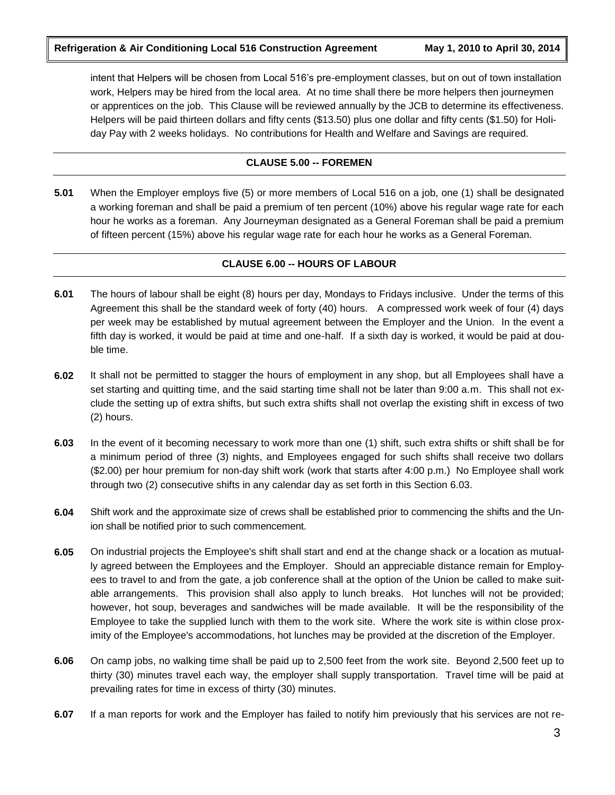intent that Helpers will be chosen from Local 516's pre-employment classes, but on out of town installation work, Helpers may be hired from the local area. At no time shall there be more helpers then journeymen or apprentices on the job. This Clause will be reviewed annually by the JCB to determine its effectiveness. Helpers will be paid thirteen dollars and fifty cents (\$13.50) plus one dollar and fifty cents (\$1.50) for Holiday Pay with 2 weeks holidays. No contributions for Health and Welfare and Savings are required.

# **CLAUSE 5.00 -- FOREMEN**

**5.01** When the Employer employs five (5) or more members of Local 516 on a job, one (1) shall be designated a working foreman and shall be paid a premium of ten percent (10%) above his regular wage rate for each hour he works as a foreman. Any Journeyman designated as a General Foreman shall be paid a premium of fifteen percent (15%) above his regular wage rate for each hour he works as a General Foreman.

# **CLAUSE 6.00 -- HOURS OF LABOUR**

- **6.01** The hours of labour shall be eight (8) hours per day, Mondays to Fridays inclusive. Under the terms of this Agreement this shall be the standard week of forty (40) hours. A compressed work week of four (4) days per week may be established by mutual agreement between the Employer and the Union. In the event a fifth day is worked, it would be paid at time and one-half. If a sixth day is worked, it would be paid at double time.
- **6.02** It shall not be permitted to stagger the hours of employment in any shop, but all Employees shall have a set starting and quitting time, and the said starting time shall not be later than 9:00 a.m. This shall not exclude the setting up of extra shifts, but such extra shifts shall not overlap the existing shift in excess of two (2) hours.
- **6.03** In the event of it becoming necessary to work more than one (1) shift, such extra shifts or shift shall be for a minimum period of three (3) nights, and Employees engaged for such shifts shall receive two dollars (\$2.00) per hour premium for non-day shift work (work that starts after 4:00 p.m.) No Employee shall work through two (2) consecutive shifts in any calendar day as set forth in this Section 6.03.
- **6.04** Shift work and the approximate size of crews shall be established prior to commencing the shifts and the Union shall be notified prior to such commencement.
- **6.05** On industrial projects the Employee's shift shall start and end at the change shack or a location as mutually agreed between the Employees and the Employer. Should an appreciable distance remain for Employees to travel to and from the gate, a job conference shall at the option of the Union be called to make suitable arrangements. This provision shall also apply to lunch breaks. Hot lunches will not be provided; however, hot soup, beverages and sandwiches will be made available. It will be the responsibility of the Employee to take the supplied lunch with them to the work site. Where the work site is within close proximity of the Employee's accommodations, hot lunches may be provided at the discretion of the Employer.
- **6.06** On camp jobs, no walking time shall be paid up to 2,500 feet from the work site. Beyond 2,500 feet up to thirty (30) minutes travel each way, the employer shall supply transportation. Travel time will be paid at prevailing rates for time in excess of thirty (30) minutes.
- **6.07** If a man reports for work and the Employer has failed to notify him previously that his services are not re-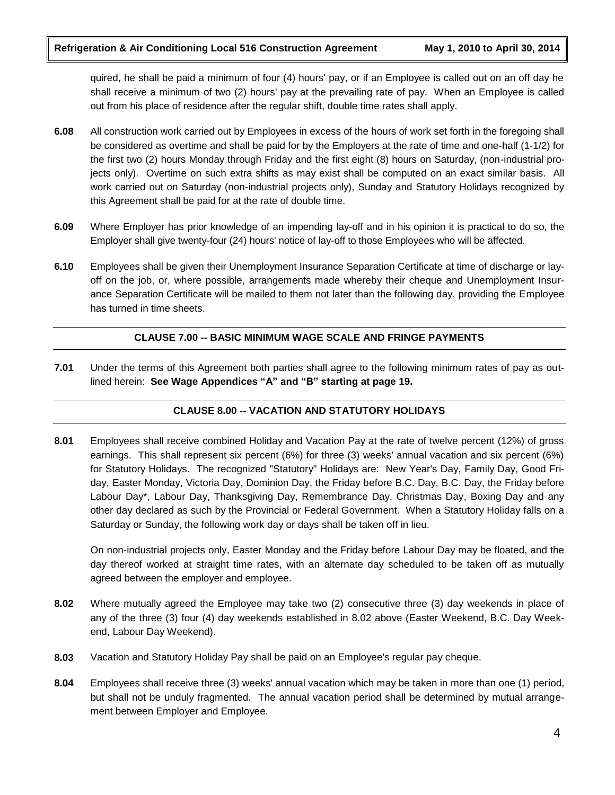quired, he shall be paid a minimum of four (4) hours' pay, or if an Employee is called out on an off day he shall receive a minimum of two (2) hours' pay at the prevailing rate of pay. When an Employee is called out from his place of residence after the regular shift, double time rates shall apply.

- **6.08** All construction work carried out by Employees in excess of the hours of work set forth in the foregoing shall be considered as overtime and shall be paid for by the Employers at the rate of time and one-half (1-1/2) for the first two (2) hours Monday through Friday and the first eight (8) hours on Saturday, (non-industrial projects only). Overtime on such extra shifts as may exist shall be computed on an exact similar basis. All work carried out on Saturday (non-industrial projects only), Sunday and Statutory Holidays recognized by this Agreement shall be paid for at the rate of double time.
- **6.09** Where Employer has prior knowledge of an impending lay-off and in his opinion it is practical to do so, the Employer shall give twenty-four (24) hours' notice of lay-off to those Employees who will be affected.
- **6.10** Employees shall be given their Unemployment Insurance Separation Certificate at time of discharge or layoff on the job, or, where possible, arrangements made whereby their cheque and Unemployment Insurance Separation Certificate will be mailed to them not later than the following day, providing the Employee has turned in time sheets.

# **CLAUSE 7.00 -- BASIC MINIMUM WAGE SCALE AND FRINGE PAYMENTS**

**7.01** Under the terms of this Agreement both parties shall agree to the following minimum rates of pay as outlined herein: **See Wage Appendices "A" and "B" starting at page 19.**

# **CLAUSE 8.00 -- VACATION AND STATUTORY HOLIDAYS**

**8.01** Employees shall receive combined Holiday and Vacation Pay at the rate of twelve percent (12%) of gross earnings. This shall represent six percent (6%) for three (3) weeks' annual vacation and six percent (6%) for Statutory Holidays. The recognized "Statutory" Holidays are: New Year's Day, Family Day, Good Friday, Easter Monday, Victoria Day, Dominion Day, the Friday before B.C. Day, B.C. Day, the Friday before Labour Day\*, Labour Day, Thanksgiving Day, Remembrance Day, Christmas Day, Boxing Day and any other day declared as such by the Provincial or Federal Government. When a Statutory Holiday falls on a Saturday or Sunday, the following work day or days shall be taken off in lieu.

On non-industrial projects only, Easter Monday and the Friday before Labour Day may be floated, and the day thereof worked at straight time rates, with an alternate day scheduled to be taken off as mutually agreed between the employer and employee.

- **8.02** Where mutually agreed the Employee may take two (2) consecutive three (3) day weekends in place of any of the three (3) four (4) day weekends established in 8.02 above (Easter Weekend, B.C. Day Weekend, Labour Day Weekend).
- **8.03** Vacation and Statutory Holiday Pay shall be paid on an Employee's regular pay cheque.
- **8.04** Employees shall receive three (3) weeks' annual vacation which may be taken in more than one (1) period, but shall not be unduly fragmented. The annual vacation period shall be determined by mutual arrangement between Employer and Employee.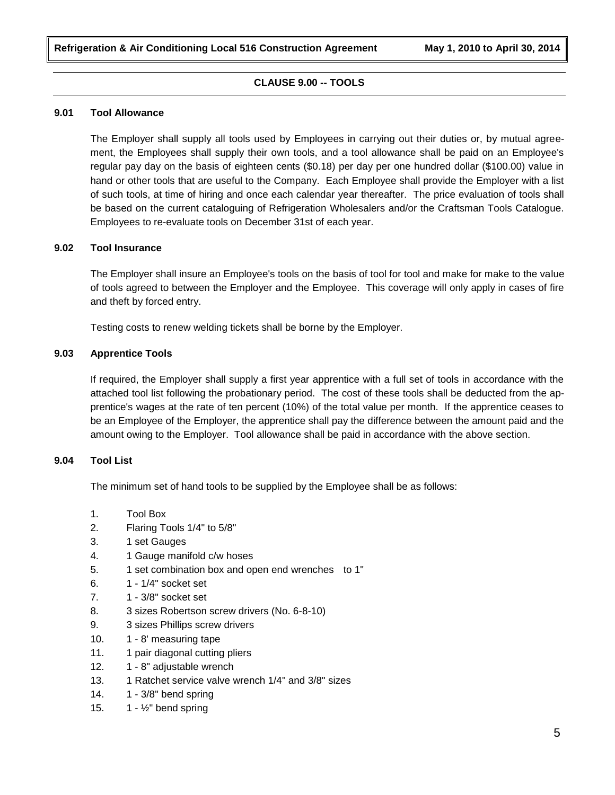# **CLAUSE 9.00 -- TOOLS**

#### **9.01 Tool Allowance**

The Employer shall supply all tools used by Employees in carrying out their duties or, by mutual agreement, the Employees shall supply their own tools, and a tool allowance shall be paid on an Employee's regular pay day on the basis of eighteen cents (\$0.18) per day per one hundred dollar (\$100.00) value in hand or other tools that are useful to the Company. Each Employee shall provide the Employer with a list of such tools, at time of hiring and once each calendar year thereafter. The price evaluation of tools shall be based on the current cataloguing of Refrigeration Wholesalers and/or the Craftsman Tools Catalogue. Employees to re-evaluate tools on December 31st of each year.

# **9.02 Tool Insurance**

The Employer shall insure an Employee's tools on the basis of tool for tool and make for make to the value of tools agreed to between the Employer and the Employee. This coverage will only apply in cases of fire and theft by forced entry.

Testing costs to renew welding tickets shall be borne by the Employer.

# **9.03 Apprentice Tools**

If required, the Employer shall supply a first year apprentice with a full set of tools in accordance with the attached tool list following the probationary period. The cost of these tools shall be deducted from the apprentice's wages at the rate of ten percent (10%) of the total value per month. If the apprentice ceases to be an Employee of the Employer, the apprentice shall pay the difference between the amount paid and the amount owing to the Employer. Tool allowance shall be paid in accordance with the above section.

### **9.04 Tool List**

The minimum set of hand tools to be supplied by the Employee shall be as follows:

- 1. Tool Box
- 2. Flaring Tools 1/4" to 5/8"
- 3. 1 set Gauges
- 4. 1 Gauge manifold c/w hoses
- 5. 1 set combination box and open end wrenches to 1"
- 6. 1 1/4" socket set
- 7. 1 3/8" socket set
- 8. 3 sizes Robertson screw drivers (No. 6-8-10)
- 9. 3 sizes Phillips screw drivers
- 10. 1 8' measuring tape
- 11. 1 pair diagonal cutting pliers
- 12. 1 8" adjustable wrench
- 13. 1 Ratchet service valve wrench 1/4" and 3/8" sizes
- 14. 1 3/8" bend spring
- 15.  $1 \frac{1}{2}$  bend spring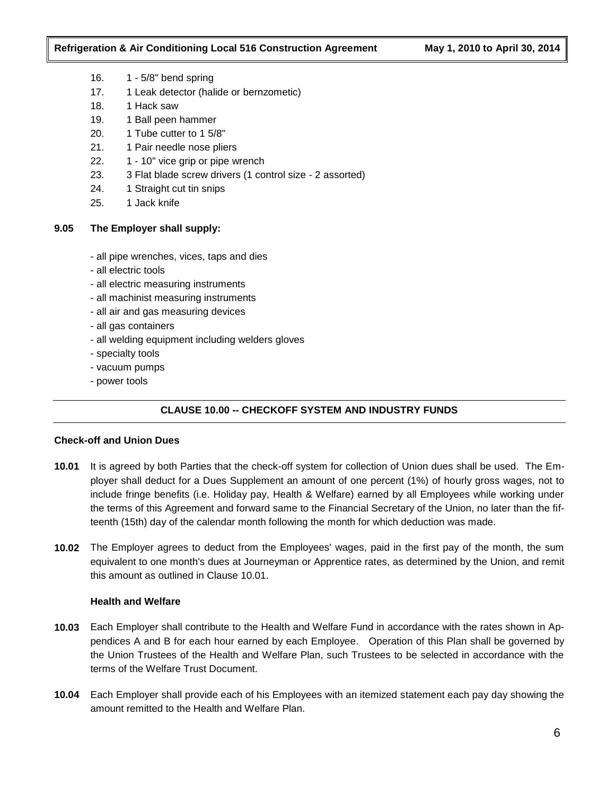- 16. 1 5/8" bend spring
- 17. 1 Leak detector (halide or bernzometic)
- 18. 1 Hack saw
- 19. 1 Ball peen hammer
- 20. 1 Tube cutter to 1 5/8"
- 21. 1 Pair needle nose pliers
- 22. 1 10" vice grip or pipe wrench
- 23. 3 Flat blade screw drivers (1 control size 2 assorted)
- 24. 1 Straight cut tin snips
- 25. 1 Jack knife

### **9.05 The Employer shall supply:**

- all pipe wrenches, vices, taps and dies
- all electric tools
- all electric measuring instruments
- all machinist measuring instruments
- all air and gas measuring devices
- all gas containers
- all welding equipment including welders gloves
- specialty tools
- vacuum pumps
- power tools

# **CLAUSE 10.00 -- CHECKOFF SYSTEM AND INDUSTRY FUNDS**

### **Check-off and Union Dues**

- **10.01** It is agreed by both Parties that the check-off system for collection of Union dues shall be used. The Employer shall deduct for a Dues Supplement an amount of one percent (1%) of hourly gross wages, not to include fringe benefits (i.e. Holiday pay, Health & Welfare) earned by all Employees while working under the terms of this Agreement and forward same to the Financial Secretary of the Union, no later than the fifteenth (15th) day of the calendar month following the month for which deduction was made.
- **10.02** The Employer agrees to deduct from the Employees' wages, paid in the first pay of the month, the sum equivalent to one month's dues at Journeyman or Apprentice rates, as determined by the Union, and remit this amount as outlined in Clause 10.01.

### **Health and Welfare**

- **10.03** Each Employer shall contribute to the Health and Welfare Fund in accordance with the rates shown in Appendices A and B for each hour earned by each Employee. Operation of this Plan shall be governed by the Union Trustees of the Health and Welfare Plan, such Trustees to be selected in accordance with the terms of the Welfare Trust Document.
- **10.04** Each Employer shall provide each of his Employees with an itemized statement each pay day showing the amount remitted to the Health and Welfare Plan.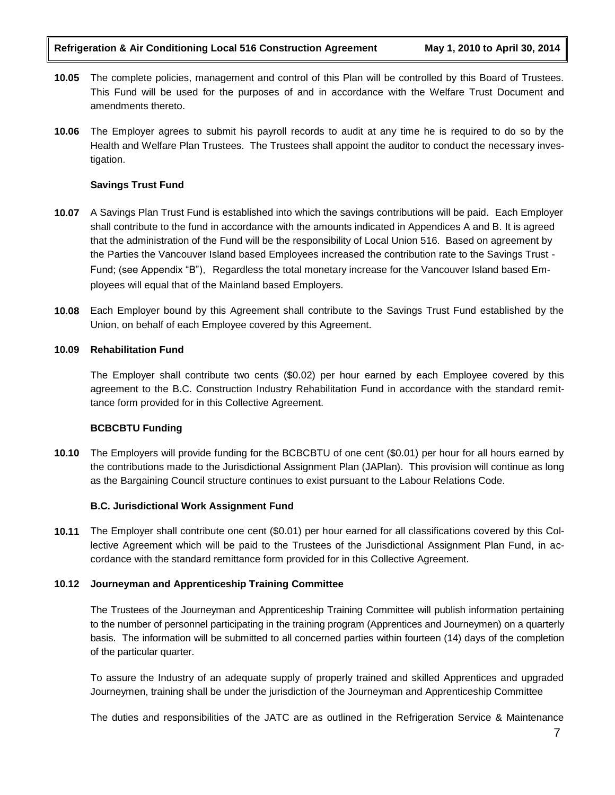- **10.05** The complete policies, management and control of this Plan will be controlled by this Board of Trustees. This Fund will be used for the purposes of and in accordance with the Welfare Trust Document and amendments thereto.
- **10.06** The Employer agrees to submit his payroll records to audit at any time he is required to do so by the Health and Welfare Plan Trustees. The Trustees shall appoint the auditor to conduct the necessary investigation.

# **Savings Trust Fund**

- **10.07** A Savings Plan Trust Fund is established into which the savings contributions will be paid. Each Employer shall contribute to the fund in accordance with the amounts indicated in Appendices A and B. It is agreed that the administration of the Fund will be the responsibility of Local Union 516. Based on agreement by the Parties the Vancouver Island based Employees increased the contribution rate to the Savings Trust - Fund; (see Appendix "B"). Regardless the total monetary increase for the Vancouver Island based Employees will equal that of the Mainland based Employers.
- **10.08** Each Employer bound by this Agreement shall contribute to the Savings Trust Fund established by the Union, on behalf of each Employee covered by this Agreement.

### **10.09 Rehabilitation Fund**

The Employer shall contribute two cents (\$0.02) per hour earned by each Employee covered by this agreement to the B.C. Construction Industry Rehabilitation Fund in accordance with the standard remittance form provided for in this Collective Agreement.

### **BCBCBTU Funding**

**10.10** The Employers will provide funding for the BCBCBTU of one cent (\$0.01) per hour for all hours earned by the contributions made to the Jurisdictional Assignment Plan (JAPlan). This provision will continue as long as the Bargaining Council structure continues to exist pursuant to the Labour Relations Code.

### **B.C. Jurisdictional Work Assignment Fund**

**10.11** The Employer shall contribute one cent (\$0.01) per hour earned for all classifications covered by this Collective Agreement which will be paid to the Trustees of the Jurisdictional Assignment Plan Fund, in accordance with the standard remittance form provided for in this Collective Agreement.

### **10.12 Journeyman and Apprenticeship Training Committee**

The Trustees of the Journeyman and Apprenticeship Training Committee will publish information pertaining to the number of personnel participating in the training program (Apprentices and Journeymen) on a quarterly basis. The information will be submitted to all concerned parties within fourteen (14) days of the completion of the particular quarter.

To assure the Industry of an adequate supply of properly trained and skilled Apprentices and upgraded Journeymen, training shall be under the jurisdiction of the Journeyman and Apprenticeship Committee

The duties and responsibilities of the JATC are as outlined in the Refrigeration Service & Maintenance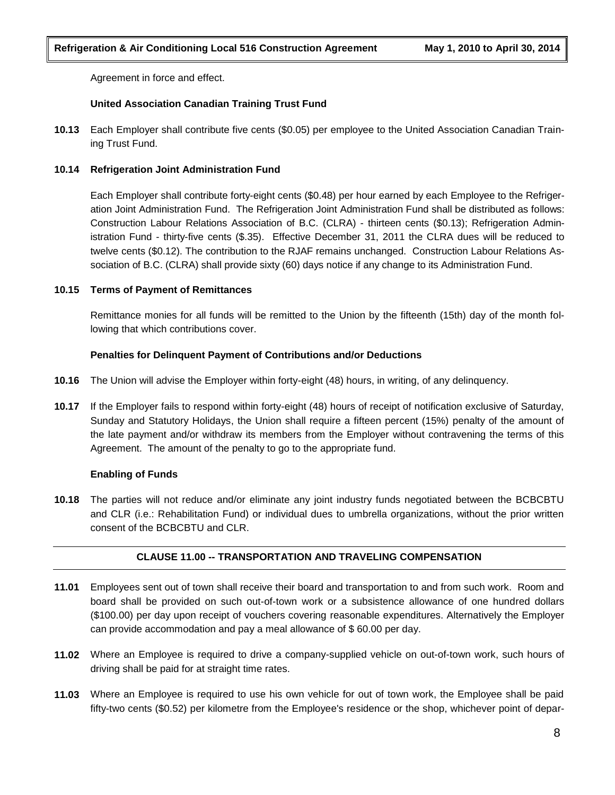Agreement in force and effect.

# **United Association Canadian Training Trust Fund**

**10.13** Each Employer shall contribute five cents (\$0.05) per employee to the United Association Canadian Training Trust Fund.

# **10.14 Refrigeration Joint Administration Fund**

Each Employer shall contribute forty-eight cents (\$0.48) per hour earned by each Employee to the Refrigeration Joint Administration Fund. The Refrigeration Joint Administration Fund shall be distributed as follows: Construction Labour Relations Association of B.C. (CLRA) - thirteen cents (\$0.13); Refrigeration Administration Fund - thirty-five cents (\$.35). Effective December 31, 2011 the CLRA dues will be reduced to twelve cents (\$0.12). The contribution to the RJAF remains unchanged. Construction Labour Relations Association of B.C. (CLRA) shall provide sixty (60) days notice if any change to its Administration Fund.

# **10.15 Terms of Payment of Remittances**

Remittance monies for all funds will be remitted to the Union by the fifteenth (15th) day of the month following that which contributions cover.

# **Penalties for Delinquent Payment of Contributions and/or Deductions**

- **10.16** The Union will advise the Employer within forty-eight (48) hours, in writing, of any delinquency.
- **10.17** If the Employer fails to respond within forty-eight (48) hours of receipt of notification exclusive of Saturday, Sunday and Statutory Holidays, the Union shall require a fifteen percent (15%) penalty of the amount of the late payment and/or withdraw its members from the Employer without contravening the terms of this Agreement. The amount of the penalty to go to the appropriate fund.

# **Enabling of Funds**

**10.18** The parties will not reduce and/or eliminate any joint industry funds negotiated between the BCBCBTU and CLR (i.e.: Rehabilitation Fund) or individual dues to umbrella organizations, without the prior written consent of the BCBCBTU and CLR.

### **CLAUSE 11.00 -- TRANSPORTATION AND TRAVELING COMPENSATION**

- **11.01** Employees sent out of town shall receive their board and transportation to and from such work. Room and board shall be provided on such out-of-town work or a subsistence allowance of one hundred dollars (\$100.00) per day upon receipt of vouchers covering reasonable expenditures. Alternatively the Employer can provide accommodation and pay a meal allowance of \$ 60.00 per day.
- **11.02** Where an Employee is required to drive a company-supplied vehicle on out-of-town work, such hours of driving shall be paid for at straight time rates.
- **11.03** Where an Employee is required to use his own vehicle for out of town work, the Employee shall be paid fifty-two cents (\$0.52) per kilometre from the Employee's residence or the shop, whichever point of depar-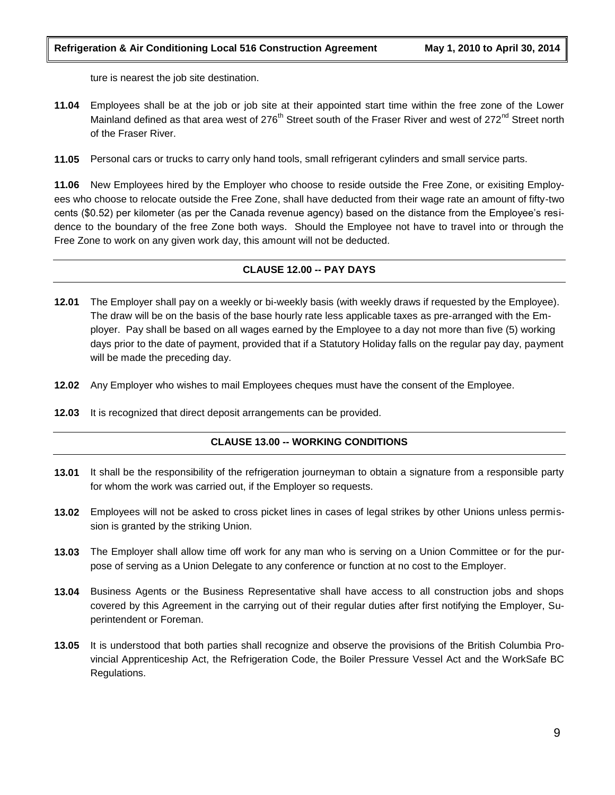ture is nearest the job site destination.

- **11.04** Employees shall be at the job or job site at their appointed start time within the free zone of the Lower Mainland defined as that area west of 276<sup>th</sup> Street south of the Fraser River and west of 272<sup>nd</sup> Street north of the Fraser River.
- **11.05** Personal cars or trucks to carry only hand tools, small refrigerant cylinders and small service parts.

**11.06** New Employees hired by the Employer who choose to reside outside the Free Zone, or exisiting Employees who choose to relocate outside the Free Zone, shall have deducted from their wage rate an amount of fifty-two cents (\$0.52) per kilometer (as per the Canada revenue agency) based on the distance from the Employee's residence to the boundary of the free Zone both ways. Should the Employee not have to travel into or through the Free Zone to work on any given work day, this amount will not be deducted.

# **CLAUSE 12.00 -- PAY DAYS**

- **12.01** The Employer shall pay on a weekly or bi-weekly basis (with weekly draws if requested by the Employee). The draw will be on the basis of the base hourly rate less applicable taxes as pre-arranged with the Employer. Pay shall be based on all wages earned by the Employee to a day not more than five (5) working days prior to the date of payment, provided that if a Statutory Holiday falls on the regular pay day, payment will be made the preceding day.
- **12.02** Any Employer who wishes to mail Employees cheques must have the consent of the Employee.
- **12.03** It is recognized that direct deposit arrangements can be provided.

### **CLAUSE 13.00 -- WORKING CONDITIONS**

- **13.01** It shall be the responsibility of the refrigeration journeyman to obtain a signature from a responsible party for whom the work was carried out, if the Employer so requests.
- **13.02** Employees will not be asked to cross picket lines in cases of legal strikes by other Unions unless permission is granted by the striking Union.
- **13.03** The Employer shall allow time off work for any man who is serving on a Union Committee or for the purpose of serving as a Union Delegate to any conference or function at no cost to the Employer.
- **13.04** Business Agents or the Business Representative shall have access to all construction jobs and shops covered by this Agreement in the carrying out of their regular duties after first notifying the Employer, Superintendent or Foreman.
- **13.05** It is understood that both parties shall recognize and observe the provisions of the British Columbia Provincial Apprenticeship Act, the Refrigeration Code, the Boiler Pressure Vessel Act and the WorkSafe BC Regulations.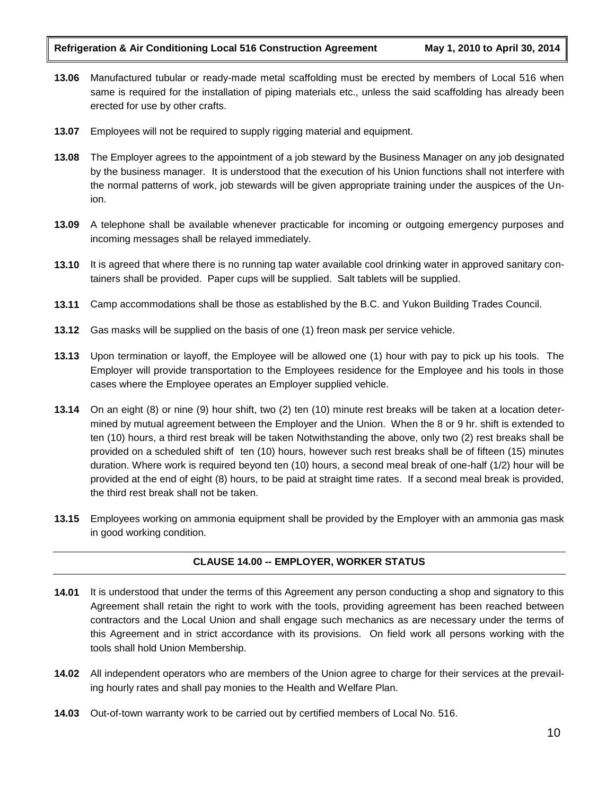- **13.06** Manufactured tubular or ready-made metal scaffolding must be erected by members of Local 516 when same is required for the installation of piping materials etc., unless the said scaffolding has already been erected for use by other crafts.
- **13.07** Employees will not be required to supply rigging material and equipment.
- **13.08** The Employer agrees to the appointment of a job steward by the Business Manager on any job designated by the business manager. It is understood that the execution of his Union functions shall not interfere with the normal patterns of work, job stewards will be given appropriate training under the auspices of the Union.
- **13.09** A telephone shall be available whenever practicable for incoming or outgoing emergency purposes and incoming messages shall be relayed immediately.
- **13.10** It is agreed that where there is no running tap water available cool drinking water in approved sanitary containers shall be provided. Paper cups will be supplied. Salt tablets will be supplied.
- **13.11** Camp accommodations shall be those as established by the B.C. and Yukon Building Trades Council.
- **13.12** Gas masks will be supplied on the basis of one (1) freon mask per service vehicle.
- **13.13** Upon termination or layoff, the Employee will be allowed one (1) hour with pay to pick up his tools. The Employer will provide transportation to the Employees residence for the Employee and his tools in those cases where the Employee operates an Employer supplied vehicle.
- **13.14** On an eight (8) or nine (9) hour shift, two (2) ten (10) minute rest breaks will be taken at a location determined by mutual agreement between the Employer and the Union. When the 8 or 9 hr. shift is extended to ten (10) hours, a third rest break will be taken Notwithstanding the above, only two (2) rest breaks shall be provided on a scheduled shift of ten (10) hours, however such rest breaks shall be of fifteen (15) minutes duration. Where work is required beyond ten (10) hours, a second meal break of one-half (1/2) hour will be provided at the end of eight (8) hours, to be paid at straight time rates. If a second meal break is provided, the third rest break shall not be taken.
- **13.15** Employees working on ammonia equipment shall be provided by the Employer with an ammonia gas mask in good working condition.

# **CLAUSE 14.00 -- EMPLOYER, WORKER STATUS**

- **14.01** It is understood that under the terms of this Agreement any person conducting a shop and signatory to this Agreement shall retain the right to work with the tools, providing agreement has been reached between contractors and the Local Union and shall engage such mechanics as are necessary under the terms of this Agreement and in strict accordance with its provisions. On field work all persons working with the tools shall hold Union Membership.
- **14.02** All independent operators who are members of the Union agree to charge for their services at the prevailing hourly rates and shall pay monies to the Health and Welfare Plan.
- **14.03** Out-of-town warranty work to be carried out by certified members of Local No. 516.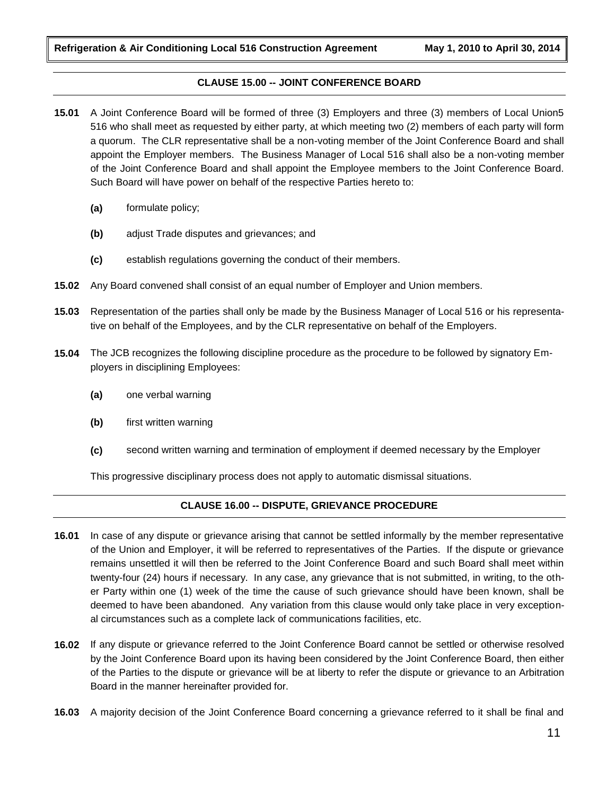# **CLAUSE 15.00 -- JOINT CONFERENCE BOARD**

- **15.01** A Joint Conference Board will be formed of three (3) Employers and three (3) members of Local Union5 516 who shall meet as requested by either party, at which meeting two (2) members of each party will form a quorum. The CLR representative shall be a non-voting member of the Joint Conference Board and shall appoint the Employer members. The Business Manager of Local 516 shall also be a non-voting member of the Joint Conference Board and shall appoint the Employee members to the Joint Conference Board. Such Board will have power on behalf of the respective Parties hereto to:
	- **(a)** formulate policy;
	- **(b)** adjust Trade disputes and grievances; and
	- **(c)** establish regulations governing the conduct of their members.
- **15.02** Any Board convened shall consist of an equal number of Employer and Union members.
- **15.03** Representation of the parties shall only be made by the Business Manager of Local 516 or his representative on behalf of the Employees, and by the CLR representative on behalf of the Employers.
- **15.04** The JCB recognizes the following discipline procedure as the procedure to be followed by signatory Employers in disciplining Employees:
	- **(a)** one verbal warning
	- **(b)** first written warning
	- **(c)** second written warning and termination of employment if deemed necessary by the Employer

This progressive disciplinary process does not apply to automatic dismissal situations.

# **CLAUSE 16.00 -- DISPUTE, GRIEVANCE PROCEDURE**

- **16.01** In case of any dispute or grievance arising that cannot be settled informally by the member representative of the Union and Employer, it will be referred to representatives of the Parties. If the dispute or grievance remains unsettled it will then be referred to the Joint Conference Board and such Board shall meet within twenty-four (24) hours if necessary. In any case, any grievance that is not submitted, in writing, to the other Party within one (1) week of the time the cause of such grievance should have been known, shall be deemed to have been abandoned. Any variation from this clause would only take place in very exceptional circumstances such as a complete lack of communications facilities, etc.
- **16.02** If any dispute or grievance referred to the Joint Conference Board cannot be settled or otherwise resolved by the Joint Conference Board upon its having been considered by the Joint Conference Board, then either of the Parties to the dispute or grievance will be at liberty to refer the dispute or grievance to an Arbitration Board in the manner hereinafter provided for.
- **16.03** A majority decision of the Joint Conference Board concerning a grievance referred to it shall be final and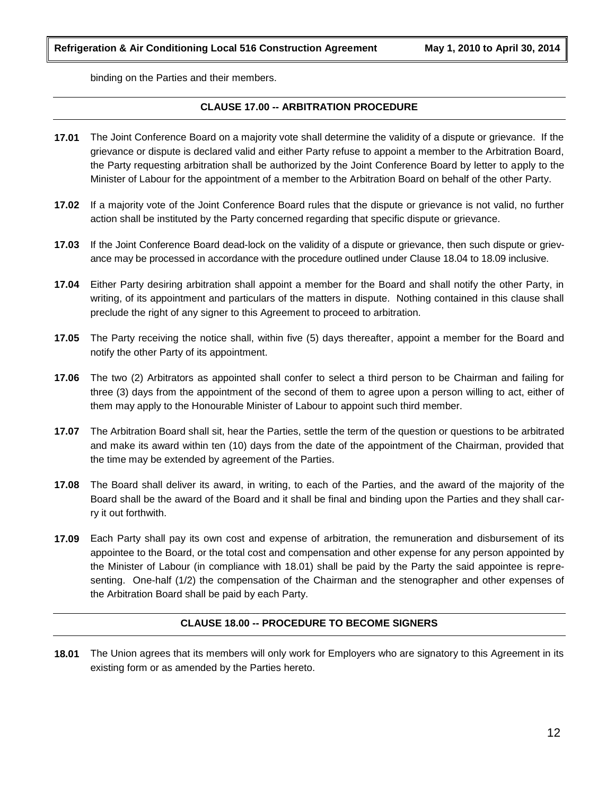binding on the Parties and their members.

# **CLAUSE 17.00 -- ARBITRATION PROCEDURE**

- **17.01** The Joint Conference Board on a majority vote shall determine the validity of a dispute or grievance. If the grievance or dispute is declared valid and either Party refuse to appoint a member to the Arbitration Board, the Party requesting arbitration shall be authorized by the Joint Conference Board by letter to apply to the Minister of Labour for the appointment of a member to the Arbitration Board on behalf of the other Party.
- **17.02** If a majority vote of the Joint Conference Board rules that the dispute or grievance is not valid, no further action shall be instituted by the Party concerned regarding that specific dispute or grievance.
- **17.03** If the Joint Conference Board dead-lock on the validity of a dispute or grievance, then such dispute or grievance may be processed in accordance with the procedure outlined under Clause 18.04 to 18.09 inclusive.
- **17.04** Either Party desiring arbitration shall appoint a member for the Board and shall notify the other Party, in writing, of its appointment and particulars of the matters in dispute. Nothing contained in this clause shall preclude the right of any signer to this Agreement to proceed to arbitration.
- **17.05** The Party receiving the notice shall, within five (5) days thereafter, appoint a member for the Board and notify the other Party of its appointment.
- **17.06** The two (2) Arbitrators as appointed shall confer to select a third person to be Chairman and failing for three (3) days from the appointment of the second of them to agree upon a person willing to act, either of them may apply to the Honourable Minister of Labour to appoint such third member.
- **17.07** The Arbitration Board shall sit, hear the Parties, settle the term of the question or questions to be arbitrated and make its award within ten (10) days from the date of the appointment of the Chairman, provided that the time may be extended by agreement of the Parties.
- **17.08** The Board shall deliver its award, in writing, to each of the Parties, and the award of the majority of the Board shall be the award of the Board and it shall be final and binding upon the Parties and they shall carry it out forthwith.
- **17.09** Each Party shall pay its own cost and expense of arbitration, the remuneration and disbursement of its appointee to the Board, or the total cost and compensation and other expense for any person appointed by the Minister of Labour (in compliance with 18.01) shall be paid by the Party the said appointee is representing. One-half (1/2) the compensation of the Chairman and the stenographer and other expenses of the Arbitration Board shall be paid by each Party.

### **CLAUSE 18.00 -- PROCEDURE TO BECOME SIGNERS**

**18.01** The Union agrees that its members will only work for Employers who are signatory to this Agreement in its existing form or as amended by the Parties hereto.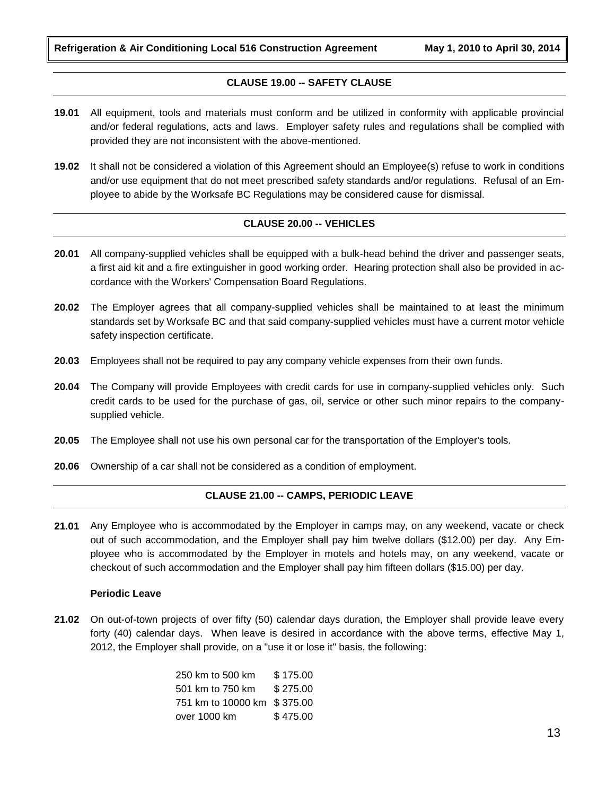**Refrigeration & Air Conditioning Local 516 Construction Agreement May 1, 2010 to April 30, 2014**

# **CLAUSE 19.00 -- SAFETY CLAUSE**

- **19.01** All equipment, tools and materials must conform and be utilized in conformity with applicable provincial and/or federal regulations, acts and laws. Employer safety rules and regulations shall be complied with provided they are not inconsistent with the above-mentioned.
- **19.02** It shall not be considered a violation of this Agreement should an Employee(s) refuse to work in conditions and/or use equipment that do not meet prescribed safety standards and/or regulations. Refusal of an Employee to abide by the Worksafe BC Regulations may be considered cause for dismissal.

# **CLAUSE 20.00 -- VEHICLES**

- **20.01** All company-supplied vehicles shall be equipped with a bulk-head behind the driver and passenger seats, a first aid kit and a fire extinguisher in good working order. Hearing protection shall also be provided in accordance with the Workers' Compensation Board Regulations.
- **20.02** The Employer agrees that all company-supplied vehicles shall be maintained to at least the minimum standards set by Worksafe BC and that said company-supplied vehicles must have a current motor vehicle safety inspection certificate.
- **20.03** Employees shall not be required to pay any company vehicle expenses from their own funds.
- **20.04** The Company will provide Employees with credit cards for use in company-supplied vehicles only. Such credit cards to be used for the purchase of gas, oil, service or other such minor repairs to the companysupplied vehicle.
- **20.05** The Employee shall not use his own personal car for the transportation of the Employer's tools.
- **20.06** Ownership of a car shall not be considered as a condition of employment.

### **CLAUSE 21.00 -- CAMPS, PERIODIC LEAVE**

**21.01** Any Employee who is accommodated by the Employer in camps may, on any weekend, vacate or check out of such accommodation, and the Employer shall pay him twelve dollars (\$12.00) per day. Any Employee who is accommodated by the Employer in motels and hotels may, on any weekend, vacate or checkout of such accommodation and the Employer shall pay him fifteen dollars (\$15.00) per day.

### **Periodic Leave**

**21.02** On out-of-town projects of over fifty (50) calendar days duration, the Employer shall provide leave every forty (40) calendar days. When leave is desired in accordance with the above terms, effective May 1, 2012, the Employer shall provide, on a "use it or lose it" basis, the following:

> 250 km to 500 km \$ 175.00 501 km to 750 km \$ 275.00 751 km to 10000 km \$ 375.00 over 1000 km \$475.00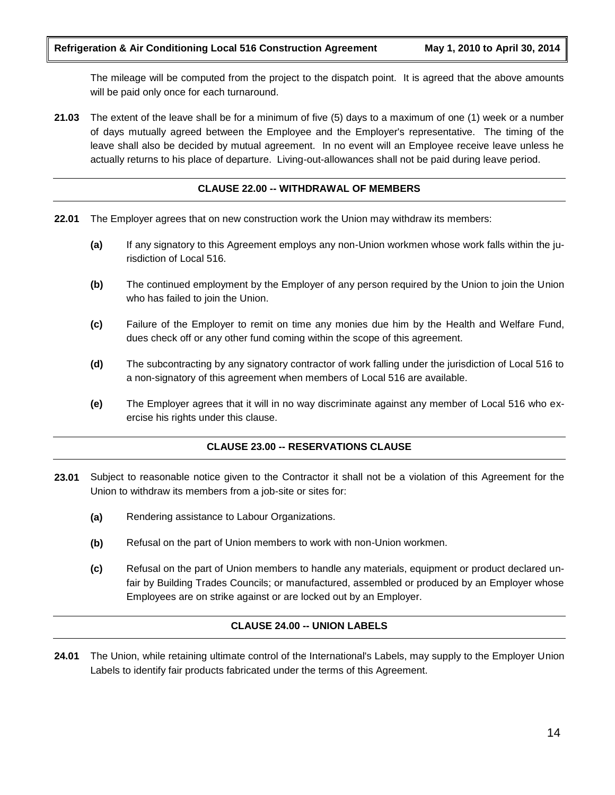The mileage will be computed from the project to the dispatch point. It is agreed that the above amounts will be paid only once for each turnaround.

**21.03** The extent of the leave shall be for a minimum of five (5) days to a maximum of one (1) week or a number of days mutually agreed between the Employee and the Employer's representative. The timing of the leave shall also be decided by mutual agreement. In no event will an Employee receive leave unless he actually returns to his place of departure. Living-out-allowances shall not be paid during leave period.

### **CLAUSE 22.00 -- WITHDRAWAL OF MEMBERS**

- **22.01** The Employer agrees that on new construction work the Union may withdraw its members:
	- **(a)** If any signatory to this Agreement employs any non-Union workmen whose work falls within the jurisdiction of Local 516.
	- **(b)** The continued employment by the Employer of any person required by the Union to join the Union who has failed to join the Union.
	- **(c)** Failure of the Employer to remit on time any monies due him by the Health and Welfare Fund, dues check off or any other fund coming within the scope of this agreement.
	- **(d)** The subcontracting by any signatory contractor of work falling under the jurisdiction of Local 516 to a non-signatory of this agreement when members of Local 516 are available.
	- **(e)** The Employer agrees that it will in no way discriminate against any member of Local 516 who exercise his rights under this clause.

# **CLAUSE 23.00 -- RESERVATIONS CLAUSE**

- **23.01** Subject to reasonable notice given to the Contractor it shall not be a violation of this Agreement for the Union to withdraw its members from a job-site or sites for:
	- **(a)** Rendering assistance to Labour Organizations.
	- **(b)** Refusal on the part of Union members to work with non-Union workmen.
	- **(c)** Refusal on the part of Union members to handle any materials, equipment or product declared unfair by Building Trades Councils; or manufactured, assembled or produced by an Employer whose Employees are on strike against or are locked out by an Employer.

### **CLAUSE 24.00 -- UNION LABELS**

**24.01** The Union, while retaining ultimate control of the International's Labels, may supply to the Employer Union Labels to identify fair products fabricated under the terms of this Agreement.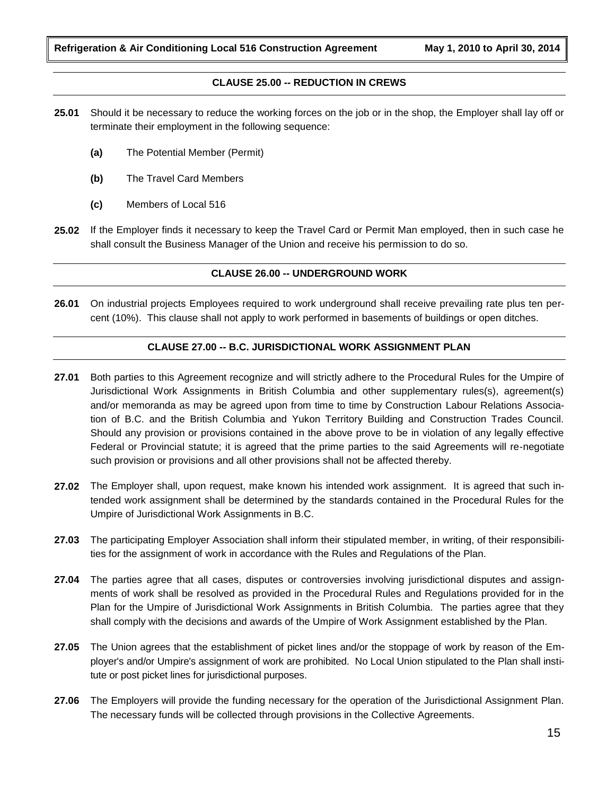# **CLAUSE 25.00 -- REDUCTION IN CREWS**

- **25.01** Should it be necessary to reduce the working forces on the job or in the shop, the Employer shall lay off or terminate their employment in the following sequence:
	- **(a)** The Potential Member (Permit)
	- **(b)** The Travel Card Members
	- **(c)** Members of Local 516
- **25.02** If the Employer finds it necessary to keep the Travel Card or Permit Man employed, then in such case he shall consult the Business Manager of the Union and receive his permission to do so.

# **CLAUSE 26.00 -- UNDERGROUND WORK**

**26.01** On industrial projects Employees required to work underground shall receive prevailing rate plus ten percent (10%). This clause shall not apply to work performed in basements of buildings or open ditches.

# **CLAUSE 27.00 -- B.C. JURISDICTIONAL WORK ASSIGNMENT PLAN**

- **27.01** Both parties to this Agreement recognize and will strictly adhere to the Procedural Rules for the Umpire of Jurisdictional Work Assignments in British Columbia and other supplementary rules(s), agreement(s) and/or memoranda as may be agreed upon from time to time by Construction Labour Relations Association of B.C. and the British Columbia and Yukon Territory Building and Construction Trades Council. Should any provision or provisions contained in the above prove to be in violation of any legally effective Federal or Provincial statute; it is agreed that the prime parties to the said Agreements will re-negotiate such provision or provisions and all other provisions shall not be affected thereby.
- **27.02** The Employer shall, upon request, make known his intended work assignment. It is agreed that such intended work assignment shall be determined by the standards contained in the Procedural Rules for the Umpire of Jurisdictional Work Assignments in B.C.
- **27.03** The participating Employer Association shall inform their stipulated member, in writing, of their responsibilities for the assignment of work in accordance with the Rules and Regulations of the Plan.
- **27.04** The parties agree that all cases, disputes or controversies involving jurisdictional disputes and assignments of work shall be resolved as provided in the Procedural Rules and Regulations provided for in the Plan for the Umpire of Jurisdictional Work Assignments in British Columbia. The parties agree that they shall comply with the decisions and awards of the Umpire of Work Assignment established by the Plan.
- **27.05** The Union agrees that the establishment of picket lines and/or the stoppage of work by reason of the Employer's and/or Umpire's assignment of work are prohibited. No Local Union stipulated to the Plan shall institute or post picket lines for jurisdictional purposes.
- **27.06** The Employers will provide the funding necessary for the operation of the Jurisdictional Assignment Plan. The necessary funds will be collected through provisions in the Collective Agreements.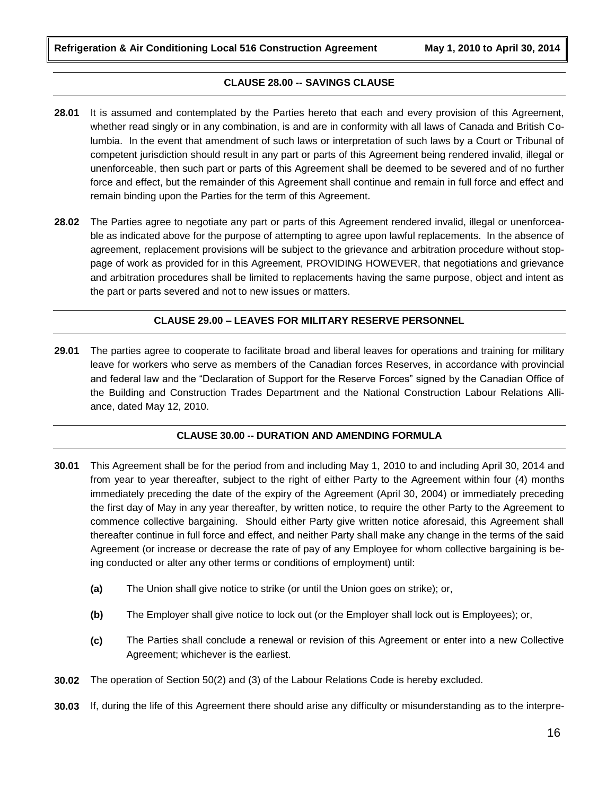**Refrigeration & Air Conditioning Local 516 Construction Agreement May 1, 2010 to April 30, 2014**

# **CLAUSE 28.00 -- SAVINGS CLAUSE**

- **28.01** It is assumed and contemplated by the Parties hereto that each and every provision of this Agreement, whether read singly or in any combination, is and are in conformity with all laws of Canada and British Columbia. In the event that amendment of such laws or interpretation of such laws by a Court or Tribunal of competent jurisdiction should result in any part or parts of this Agreement being rendered invalid, illegal or unenforceable, then such part or parts of this Agreement shall be deemed to be severed and of no further force and effect, but the remainder of this Agreement shall continue and remain in full force and effect and remain binding upon the Parties for the term of this Agreement.
- **28.02** The Parties agree to negotiate any part or parts of this Agreement rendered invalid, illegal or unenforceable as indicated above for the purpose of attempting to agree upon lawful replacements. In the absence of agreement, replacement provisions will be subject to the grievance and arbitration procedure without stoppage of work as provided for in this Agreement, PROVIDING HOWEVER, that negotiations and grievance and arbitration procedures shall be limited to replacements having the same purpose, object and intent as the part or parts severed and not to new issues or matters.

# **CLAUSE 29.00 – LEAVES FOR MILITARY RESERVE PERSONNEL**

**29.01** The parties agree to cooperate to facilitate broad and liberal leaves for operations and training for military leave for workers who serve as members of the Canadian forces Reserves, in accordance with provincial and federal law and the "Declaration of Support for the Reserve Forces" signed by the Canadian Office of the Building and Construction Trades Department and the National Construction Labour Relations Alliance, dated May 12, 2010.

### **CLAUSE 30.00 -- DURATION AND AMENDING FORMULA**

- **30.01** This Agreement shall be for the period from and including May 1, 2010 to and including April 30, 2014 and from year to year thereafter, subject to the right of either Party to the Agreement within four (4) months immediately preceding the date of the expiry of the Agreement (April 30, 2004) or immediately preceding the first day of May in any year thereafter, by written notice, to require the other Party to the Agreement to commence collective bargaining. Should either Party give written notice aforesaid, this Agreement shall thereafter continue in full force and effect, and neither Party shall make any change in the terms of the said Agreement (or increase or decrease the rate of pay of any Employee for whom collective bargaining is being conducted or alter any other terms or conditions of employment) until:
	- **(a)** The Union shall give notice to strike (or until the Union goes on strike); or,
	- **(b)** The Employer shall give notice to lock out (or the Employer shall lock out is Employees); or,
	- **(c)** The Parties shall conclude a renewal or revision of this Agreement or enter into a new Collective Agreement; whichever is the earliest.
- **30.02** The operation of Section 50(2) and (3) of the Labour Relations Code is hereby excluded.
- **30.03** If, during the life of this Agreement there should arise any difficulty or misunderstanding as to the interpre-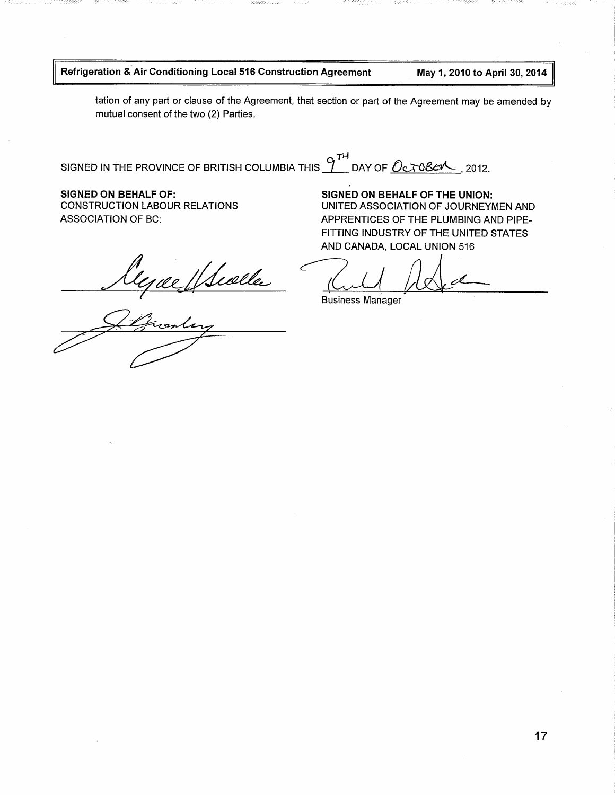# Refrigeration & Air Conditioning Local 516 Construction Agreement

May 1, 2010 to April 30, 2014

tation of any part or clause of the Agreement, that section or part of the Agreement may be amended by mutual consent of the two (2) Parties.

SIGNED IN THE PROVINCE OF BRITISH COLUMBIA THIS  $9^{74}$  DAY OF  $0e$  T086/ , 2012.

**SIGNED ON BEHALF OF: CONSTRUCTION LABOUR RELATIONS ASSOCIATION OF BC:** 

Wealler

SIGNED ON BEHALF OF THE UNION: UNITED ASSOCIATION OF JOURNEYMEN AND APPRENTICES OF THE PLUMBING AND PIPE-FITTING INDUSTRY OF THE UNITED STATES AND CANADA, LOCAL UNION 516

**Business Manager**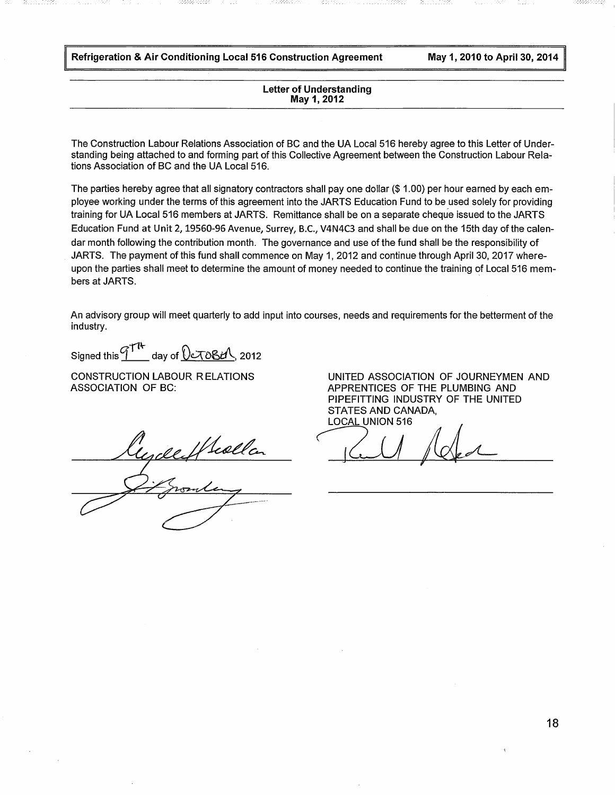Refrigeration & Air Conditioning Local 516 Construction Agreement

May 1, 2010 to April 30, 2014

#### **Letter of Understanding** May 1, 2012

The Construction Labour Relations Association of BC and the UA Local 516 hereby agree to this Letter of Understanding being attached to and forming part of this Collective Agreement between the Construction Labour Relations Association of BC and the UA Local 516.

The parties hereby agree that all signatory contractors shall pay one dollar (\$1.00) per hour earned by each employee working under the terms of this agreement into the JARTS Education Fund to be used solely for providing training for UA Local 516 members at JARTS. Remittance shall be on a separate cheque issued to the JARTS Education Fund at Unit 2, 19560-96 Avenue, Surrey, B.C., V4N4C3 and shall be due on the 15th day of the calendar month following the contribution month. The governance and use of the fund shall be the responsibility of JARTS. The payment of this fund shall commence on May 1, 2012 and continue through April 30, 2017 whereupon the parties shall meet to determine the amount of money needed to continue the training of Local 516 members at JARTS.

An advisory group will meet quarterly to add input into courses, needs and requirements for the betterment of the industry.

Signed this  $\frac{7}{14}$  day of  $0.7084$ , 2012

**CONSTRUCTION LABOUR RELATIONS ASSOCIATION OF BC:** 

regileffella

UNITED ASSOCIATION OF JOURNEYMEN AND APPRENTICES OF THE PLUMBING AND PIPEFITTING INDUSTRY OF THE UNITED **STATES AND CANADA. LOCAL UNION 516**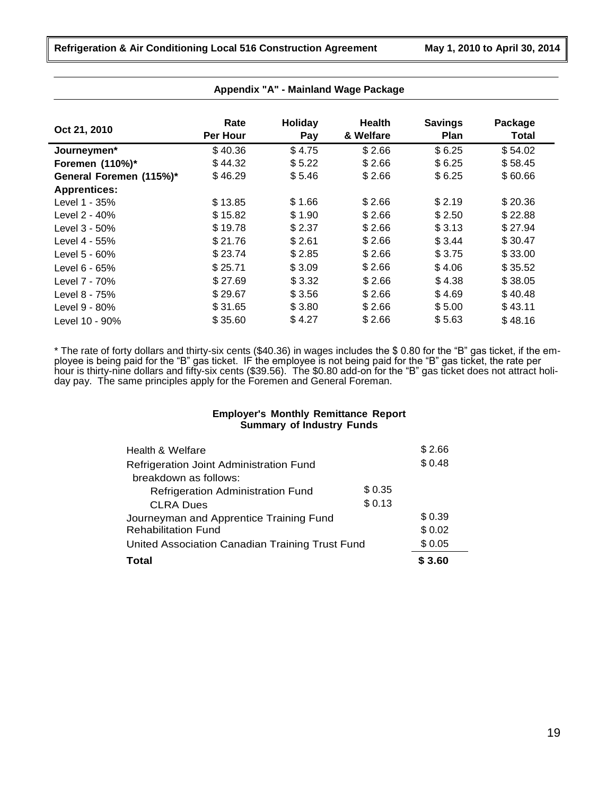| Oct 21, 2010            | Rate     | <b>Holiday</b> | <b>Health</b> | <b>Savings</b> | Package |
|-------------------------|----------|----------------|---------------|----------------|---------|
|                         | Per Hour | Pay            | & Welfare     | <b>Plan</b>    | Total   |
| Journeymen*             | \$40.36  | \$4.75         | \$2.66        | \$6.25         | \$54.02 |
| Foremen (110%)*         | \$44.32  | \$5.22         | \$2.66        | \$6.25         | \$58.45 |
| General Foremen (115%)* | \$46.29  | \$5.46         | \$2.66        | \$6.25         | \$60.66 |
| <b>Apprentices:</b>     |          |                |               |                |         |
| Level 1 - 35%           | \$13.85  | \$1.66         | \$2.66        | \$2.19         | \$20.36 |
| Level 2 - 40%           | \$15.82  | \$1.90         | \$2.66        | \$2.50         | \$22.88 |
| Level 3 - 50%           | \$19.78  | \$2.37         | \$2.66        | \$3.13         | \$27.94 |
| Level 4 - 55%           | \$21.76  | \$2.61         | \$2.66        | \$3.44         | \$30.47 |
| Level $5 - 60\%$        | \$23.74  | \$2.85         | \$2.66        | \$3.75         | \$33.00 |
| Level 6 - 65%           | \$25.71  | \$3.09         | \$2.66        | \$4.06         | \$35.52 |
| Level 7 - 70%           | \$27.69  | \$3.32         | \$2.66        | \$4.38         | \$38.05 |
| Level 8 - 75%           | \$29.67  | \$3.56         | \$2.66        | \$4.69         | \$40.48 |
| Level 9 - 80%           | \$31.65  | \$3.80         | \$2.66        | \$5.00         | \$43.11 |
| Level 10 - 90%          | \$35.60  | \$4.27         | \$2.66        | \$5.63         | \$48.16 |

\* The rate of forty dollars and thirty-six cents (\$40.36) in wages includes the \$ 0.80 for the "B" gas ticket, if the employee is being paid for the "B" gas ticket. IF the employee is not being paid for the "B" gas ticket, the rate per hour is thirty-nine dollars and fifty-six cents (\$39.56). The \$0.80 add-on for the "B" gas ticket does not attract holiday pay. The same principles apply for the Foremen and General Foreman.

# **Employer's Monthly Remittance Report Summary of Industry Funds**

| Total                                           |        | \$3.60 |
|-------------------------------------------------|--------|--------|
| United Association Canadian Training Trust Fund |        | \$0.05 |
| <b>Rehabilitation Fund</b>                      |        | \$0.02 |
| Journeyman and Apprentice Training Fund         |        | \$0.39 |
| <b>CLRA Dues</b>                                | \$0.13 |        |
| <b>Refrigeration Administration Fund</b>        | \$0.35 |        |
| breakdown as follows:                           |        |        |
| Refrigeration Joint Administration Fund         |        | \$0.48 |
| Health & Welfare                                |        | \$2.66 |
|                                                 |        |        |

### **Appendix "A" - Mainland Wage Package**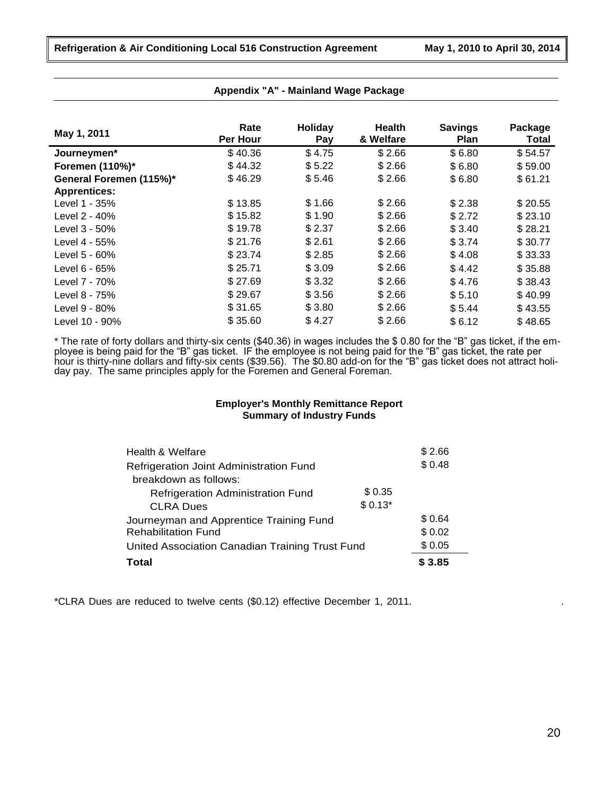| May 1, 2011             | Rate<br>Per Hour | Holiday<br>Pay | Health<br>& Welfare | <b>Savings</b><br><b>Plan</b> | Package<br><b>Total</b> |
|-------------------------|------------------|----------------|---------------------|-------------------------------|-------------------------|
| Journeymen*             | \$40.36          | \$4.75         | \$2.66              | \$6.80                        | \$54.57                 |
| Foremen (110%)*         | \$44.32          | \$5.22         | \$2.66              | \$6.80                        | \$59.00                 |
| General Foremen (115%)* | \$46.29          | \$5.46         | \$2.66              | \$6.80                        | \$61.21                 |
| <b>Apprentices:</b>     |                  |                |                     |                               |                         |
| Level 1 - 35%           | \$13.85          | \$1.66         | \$2.66              | \$2.38                        | \$20.55                 |
| Level 2 - 40%           | \$15.82          | \$1.90         | \$2.66              | \$2.72                        | \$23.10                 |
| Level 3 - 50%           | \$19.78          | \$2.37         | \$2.66              | \$3.40                        | \$28.21                 |
| Level 4 - 55%           | \$21.76          | \$2.61         | \$2.66              | \$3.74                        | \$30.77                 |
| Level 5 - 60%           | \$23.74          | \$2.85         | \$2.66              | \$4.08                        | \$33.33                 |
| Level 6 - 65%           | \$25.71          | \$3.09         | \$2.66              | \$4.42                        | \$35.88                 |
| Level 7 - 70%           | \$27.69          | \$3.32         | \$2.66              | \$4.76                        | \$38.43                 |
| Level 8 - 75%           | \$29.67          | \$3.56         | \$2.66              | \$5.10                        | \$40.99                 |
| Level 9 - 80%           | \$31.65          | \$3.80         | \$2.66              | \$5.44                        | \$43.55                 |
| Level 10 - 90%          | \$35.60          | \$4.27         | \$2.66              | \$6.12                        | \$48.65                 |

#### **Appendix "A" - Mainland Wage Package**

\* The rate of forty dollars and thirty-six cents (\$40.36) in wages includes the \$ 0.80 for the "B" gas ticket, if the employee is being paid for the "B" gas ticket. IF the employee is not being paid for the "B" gas ticket, the rate per hour is thirty-nine dollars and fifty-six cents (\$39.56). The \$0.80 add-on for the "B" gas ticket does not attract holiday pay. The same principles apply for the Foremen and General Foreman.

# **Employer's Monthly Remittance Report Summary of Industry Funds**

| Health & Welfare                                |          | \$2.66 |
|-------------------------------------------------|----------|--------|
| Refrigeration Joint Administration Fund         |          | \$0.48 |
| breakdown as follows:                           |          |        |
| Refrigeration Administration Fund               | \$0.35   |        |
| <b>CLRA Dues</b>                                | $$0.13*$ |        |
| Journeyman and Apprentice Training Fund         |          | \$0.64 |
| <b>Rehabilitation Fund</b>                      |          | \$0.02 |
| United Association Canadian Training Trust Fund |          | \$0.05 |
| Total                                           |          | \$3.85 |

\*CLRA Dues are reduced to twelve cents (\$0.12) effective December 1, 2011. .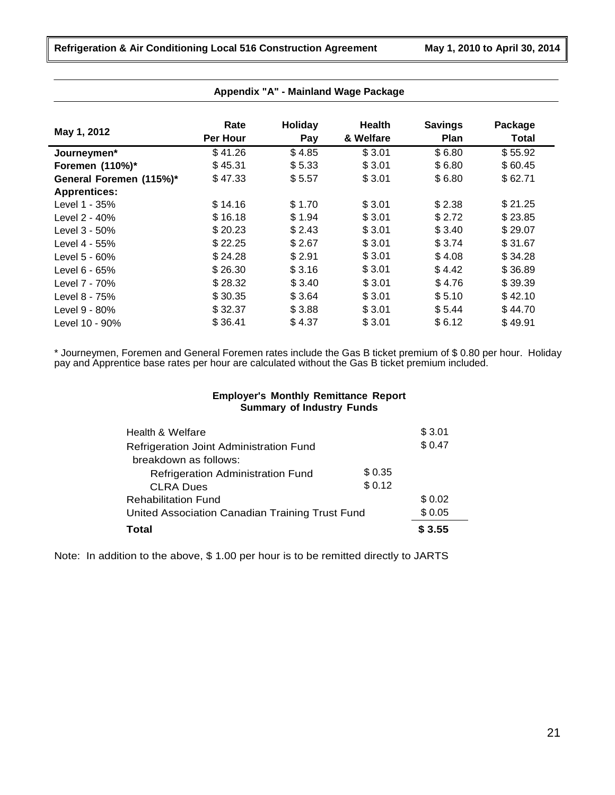|                         | Rate     | <b>Holiday</b> | <b>Health</b> | <b>Savings</b> | Package |
|-------------------------|----------|----------------|---------------|----------------|---------|
| May 1, 2012             | Per Hour | Pay            | & Welfare     | <b>Plan</b>    | Total   |
| Journeymen*             | \$41.26  | \$4.85         | \$3.01        | \$6.80         | \$55.92 |
| Foremen (110%)*         | \$45.31  | \$5.33         | \$3.01        | \$6.80         | \$60.45 |
| General Foremen (115%)* | \$47.33  | \$5.57         | \$3.01        | \$6.80         | \$62.71 |
| <b>Apprentices:</b>     |          |                |               |                |         |
| Level 1 - 35%           | \$14.16  | \$1.70         | \$3.01        | \$2.38         | \$21.25 |
| Level 2 - 40%           | \$16.18  | \$1.94         | \$3.01        | \$2.72         | \$23.85 |
| Level 3 - 50%           | \$20.23  | \$2.43         | \$3.01        | \$3.40         | \$29.07 |
| Level 4 - 55%           | \$22.25  | \$2.67         | \$3.01        | \$3.74         | \$31.67 |
| Level $5 - 60%$         | \$24.28  | \$2.91         | \$3.01        | \$4.08         | \$34.28 |
| Level $6 - 65%$         | \$26.30  | \$3.16         | \$3.01        | \$4.42         | \$36.89 |
| Level 7 - 70%           | \$28.32  | \$3.40         | \$3.01        | \$4.76         | \$39.39 |
| Level 8 - 75%           | \$30.35  | \$3.64         | \$3.01        | \$5.10         | \$42.10 |
| Level 9 - 80%           | \$32.37  | \$3.88         | \$3.01        | \$5.44         | \$44.70 |
| Level 10 - 90%          | \$36.41  | \$4.37         | \$3.01        | \$6.12         | \$49.91 |

### **Appendix "A" - Mainland Wage Package**

\* Journeymen, Foremen and General Foremen rates include the Gas B ticket premium of \$ 0.80 per hour. Holiday pay and Apprentice base rates per hour are calculated without the Gas B ticket premium included.

#### **Employer's Monthly Remittance Report Summary of Industry Funds**

| Health & Welfare                                |         | \$3.01 |
|-------------------------------------------------|---------|--------|
| Refrigeration Joint Administration Fund         |         | \$0.47 |
| breakdown as follows:                           |         |        |
| Refrigeration Administration Fund               | \$ 0.35 |        |
| <b>CLRA Dues</b>                                | \$0.12  |        |
| <b>Rehabilitation Fund</b>                      |         | \$0.02 |
| United Association Canadian Training Trust Fund |         | \$0.05 |
| <b>Total</b>                                    |         | \$3.55 |

Note: In addition to the above, \$ 1.00 per hour is to be remitted directly to JARTS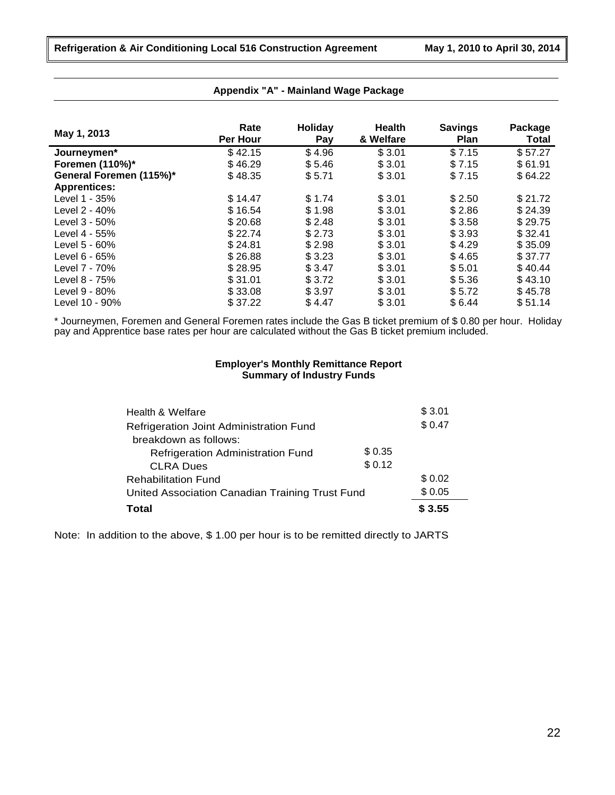| May 1, 2013             | Rate<br>Per Hour | Holiday<br>Pay | <b>Health</b><br>& Welfare | <b>Savings</b><br><b>Plan</b> | Package<br>Total |
|-------------------------|------------------|----------------|----------------------------|-------------------------------|------------------|
| Journeymen*             | \$42.15          | \$4.96         | \$3.01                     | \$7.15                        | \$57.27          |
| Foremen (110%)*         | \$46.29          | \$5.46         | \$3.01                     | \$7.15                        | \$61.91          |
| General Foremen (115%)* | \$48.35          | \$5.71         | \$3.01                     | \$7.15                        | \$64.22          |
| <b>Apprentices:</b>     |                  |                |                            |                               |                  |
| Level 1 - 35%           | \$14.47          | \$1.74         | \$3.01                     | \$2.50                        | \$21.72          |
| Level 2 - 40%           | \$16.54          | \$1.98         | \$3.01                     | \$2.86                        | \$24.39          |
| Level 3 - 50%           | \$20.68          | \$2.48         | \$3.01                     | \$3.58                        | \$29.75          |
| Level 4 - 55%           | \$22.74          | \$2.73         | \$3.01                     | \$3.93                        | \$32.41          |
| Level 5 - 60%           | \$24.81          | \$2.98         | \$3.01                     | \$4.29                        | \$35.09          |
| Level $6 - 65%$         | \$26.88          | \$3.23         | \$3.01                     | \$4.65                        | \$37.77          |
| Level 7 - 70%           | \$28.95          | \$3.47         | \$3.01                     | \$5.01                        | \$40.44          |
| Level 8 - 75%           | \$31.01          | \$3.72         | \$3.01                     | \$5.36                        | \$43.10          |
| Level 9 - 80%           | \$33.08          | \$3.97         | \$3.01                     | \$5.72                        | \$45.78          |
| Level 10 - 90%          | \$37.22          | \$4.47         | \$3.01                     | \$6.44                        | \$51.14          |

### **Appendix "A" - Mainland Wage Package**

\* Journeymen, Foremen and General Foremen rates include the Gas B ticket premium of \$ 0.80 per hour. Holiday pay and Apprentice base rates per hour are calculated without the Gas B ticket premium included.

# **Employer's Monthly Remittance Report Summary of Industry Funds**

| Health & Welfare                                |         | \$3.01 |
|-------------------------------------------------|---------|--------|
| Refrigeration Joint Administration Fund         |         | \$0.47 |
| breakdown as follows:                           |         |        |
| <b>Refrigeration Administration Fund</b>        | \$ 0.35 |        |
| <b>CLRA Dues</b>                                | \$0.12  |        |
| <b>Rehabilitation Fund</b>                      |         | \$0.02 |
| United Association Canadian Training Trust Fund |         | \$0.05 |
| Total                                           |         | \$3.55 |

Note: In addition to the above, \$ 1.00 per hour is to be remitted directly to JARTS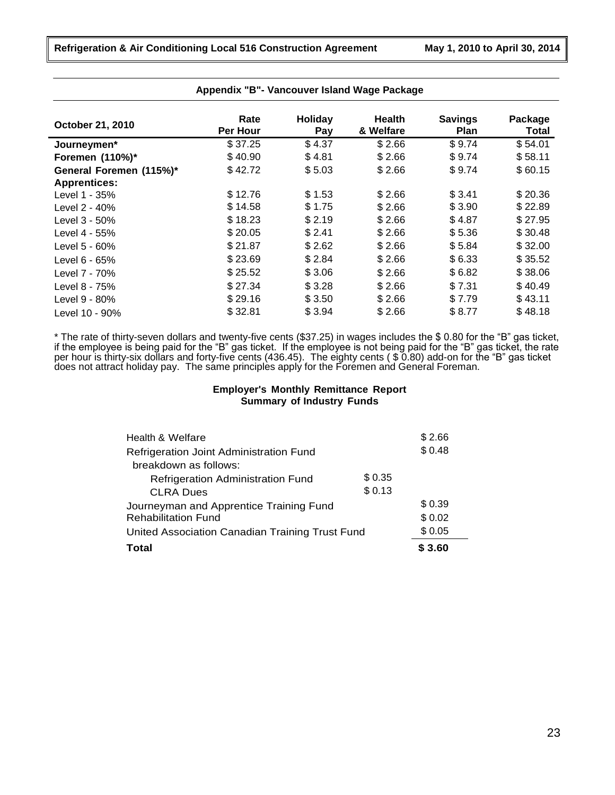| October 21, 2010        | Rate<br>Per Hour | Holiday<br>Pay | <b>Health</b><br>& Welfare | <b>Savings</b><br><b>Plan</b> | Package<br>Total |
|-------------------------|------------------|----------------|----------------------------|-------------------------------|------------------|
| Journeymen*             | \$37.25          | \$4.37         | \$2.66                     | \$9.74                        | \$54.01          |
| Foremen (110%)*         | \$40.90          | \$4.81         | \$2.66                     | \$9.74                        | \$58.11          |
| General Foremen (115%)* | \$42.72          | \$5.03         | \$2.66                     | \$9.74                        | \$60.15          |
| <b>Apprentices:</b>     |                  |                |                            |                               |                  |
| Level 1 - 35%           | \$12.76          | \$1.53         | \$2.66                     | \$3.41                        | \$20.36          |
| Level 2 - 40%           | \$14.58          | \$1.75         | \$2.66                     | \$3.90                        | \$22.89          |
| Level 3 - 50%           | \$18.23          | \$2.19         | \$2.66                     | \$4.87                        | \$27.95          |
| Level 4 - 55%           | \$20.05          | \$2.41         | \$2.66                     | \$5.36                        | \$30.48          |
| Level 5 - 60%           | \$21.87          | \$2.62         | \$2.66                     | \$5.84                        | \$32.00          |
| Level $6 - 65%$         | \$23.69          | \$2.84         | \$2.66                     | \$6.33                        | \$35.52          |
| Level 7 - 70%           | \$25.52          | \$3.06         | \$2.66                     | \$6.82                        | \$38.06          |
| Level 8 - 75%           | \$27.34          | \$3.28         | \$2.66                     | \$7.31                        | \$40.49          |
| Level 9 - 80%           | \$29.16          | \$3.50         | \$2.66                     | \$7.79                        | \$43.11          |
| Level 10 - 90%          | \$32.81          | \$3.94         | \$2.66                     | \$8.77                        | \$48.18          |

\* The rate of thirty-seven dollars and twenty-five cents (\$37.25) in wages includes the \$ 0.80 for the "B" gas ticket, if the employee is being paid for the "B" gas ticket. If the employee is not being paid for the "B" gas ticket, the rate per hour is thirty-six dollars and forty-five cents (436.45). The eighty cents ( \$ 0.80) add-on for the "B" gas ticket does not attract holiday pay. The same principles apply for the Foremen and General Foreman.

# **Employer's Monthly Remittance Report Summary of Industry Funds**

| Total                                           |        | \$3.60 |
|-------------------------------------------------|--------|--------|
| United Association Canadian Training Trust Fund |        | \$0.05 |
| <b>Rehabilitation Fund</b>                      |        | \$0.02 |
| Journeyman and Apprentice Training Fund         |        | \$0.39 |
| <b>CLRA Dues</b>                                | \$0.13 |        |
| Refrigeration Administration Fund               | \$0.35 |        |
| breakdown as follows:                           |        |        |
| Refrigeration Joint Administration Fund         |        | \$0.48 |
| Health & Welfare                                |        | \$2.66 |
|                                                 |        |        |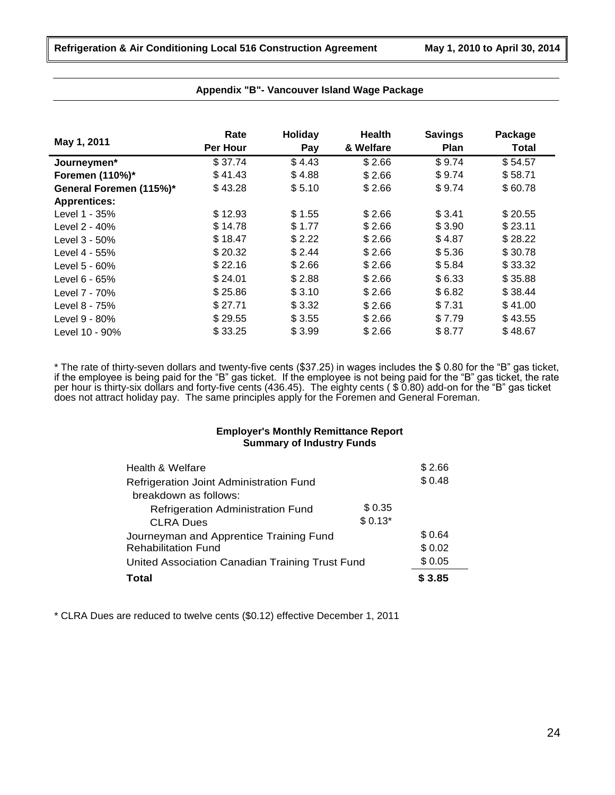|                         | Rate     | Holiday | Health    | <b>Savings</b> | Package |
|-------------------------|----------|---------|-----------|----------------|---------|
| May 1, 2011             | Per Hour | Pay     | & Welfare | Plan           | Total   |
| Journeymen*             | \$37.74  | \$4.43  | \$2.66    | \$9.74         | \$54.57 |
| Foremen (110%)*         | \$41.43  | \$4.88  | \$2.66    | \$9.74         | \$58.71 |
| General Foremen (115%)* | \$43.28  | \$5.10  | \$2.66    | \$9.74         | \$60.78 |
| <b>Apprentices:</b>     |          |         |           |                |         |
| Level 1 - 35%           | \$12.93  | \$1.55  | \$2.66    | \$3.41         | \$20.55 |
| Level 2 - 40%           | \$14.78  | \$1.77  | \$2.66    | \$3.90         | \$23.11 |
| Level 3 - 50%           | \$18.47  | \$2.22  | \$2.66    | \$4.87         | \$28.22 |
| Level 4 - 55%           | \$20.32  | \$2.44  | \$2.66    | \$5.36         | \$30.78 |
| Level 5 - 60%           | \$22.16  | \$2.66  | \$2.66    | \$5.84         | \$33.32 |
| Level 6 - 65%           | \$24.01  | \$2.88  | \$2.66    | \$6.33         | \$35.88 |
| Level 7 - 70%           | \$25.86  | \$3.10  | \$2.66    | \$6.82         | \$38.44 |
| Level 8 - 75%           | \$27.71  | \$3.32  | \$2.66    | \$7.31         | \$41.00 |
| Level 9 - 80%           | \$29.55  | \$3.55  | \$2.66    | \$7.79         | \$43.55 |
| Level 10 - 90%          | \$33.25  | \$3.99  | \$2.66    | \$8.77         | \$48.67 |

\* The rate of thirty-seven dollars and twenty-five cents (\$37.25) in wages includes the \$ 0.80 for the "B" gas ticket, if the employee is being paid for the "B" gas ticket. If the employee is not being paid for the "B" gas ticket, the rate per hour is thirty-six dollars and forty-five cents (436.45). The eighty cents ( \$ 0.80) add-on for the "B" gas ticket does not attract holiday pay. The same principles apply for the Foremen and General Foreman.

# **Employer's Monthly Remittance Report Summary of Industry Funds**

| Health & Welfare                                |          | \$2.66 |
|-------------------------------------------------|----------|--------|
| Refrigeration Joint Administration Fund         |          | \$0.48 |
| breakdown as follows:                           |          |        |
| Refrigeration Administration Fund               | \$0.35   |        |
| <b>CLRA Dues</b>                                | $$0.13*$ |        |
| Journeyman and Apprentice Training Fund         |          | \$0.64 |
| <b>Rehabilitation Fund</b>                      |          | \$0.02 |
| United Association Canadian Training Trust Fund | \$0.05   |        |
| Total                                           |          | \$3.85 |

\* CLRA Dues are reduced to twelve cents (\$0.12) effective December 1, 2011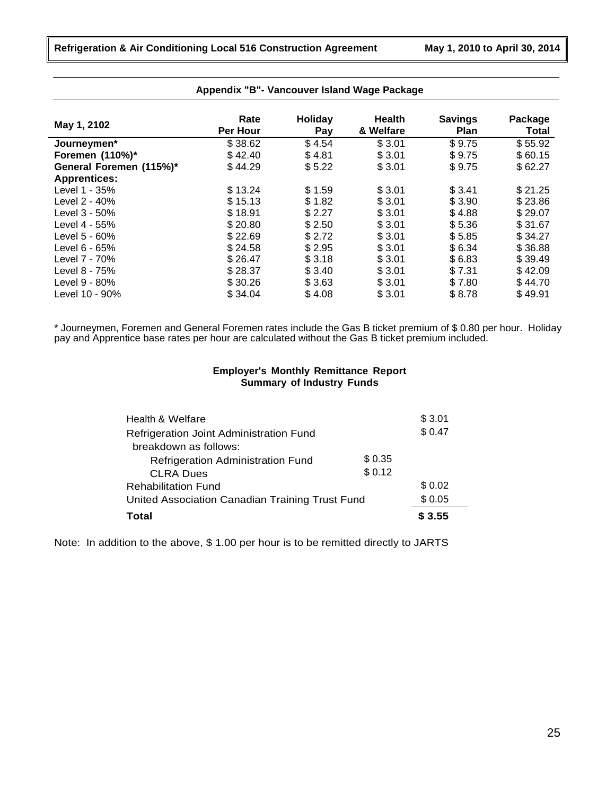| May 1, 2102             | Rate<br>Per Hour | Holiday<br>Pay | <b>Health</b><br>& Welfare | <b>Savings</b><br><b>Plan</b> | Package<br>Total |
|-------------------------|------------------|----------------|----------------------------|-------------------------------|------------------|
| Journeymen*             | \$38.62          | \$4.54         | \$3.01                     | \$9.75                        | \$55.92          |
| Foremen (110%)*         | \$42.40          | \$4.81         | \$3.01                     | \$9.75                        | \$60.15          |
| General Foremen (115%)* | \$44.29          | \$5.22         | \$3.01                     | \$9.75                        | \$62.27          |
| <b>Apprentices:</b>     |                  |                |                            |                               |                  |
| Level 1 - 35%           | \$13.24          | \$1.59         | \$3.01                     | \$3.41                        | \$21.25          |
| Level 2 - 40%           | \$15.13          | \$1.82         | \$3.01                     | \$3.90                        | \$23.86          |
| Level 3 - 50%           | \$18.91          | \$2.27         | \$3.01                     | \$4.88                        | \$29.07          |
| Level 4 - 55%           | \$20.80          | \$2.50         | \$3.01                     | \$5.36                        | \$31.67          |
| Level $5 - 60\%$        | \$22.69          | \$2.72         | \$3.01                     | \$5.85                        | \$34.27          |
| Level 6 - 65%           | \$24.58          | \$2.95         | \$3.01                     | \$6.34                        | \$36.88          |
| Level 7 - 70%           | \$26.47          | \$3.18         | \$3.01                     | \$6.83                        | \$39.49          |
| Level 8 - 75%           | \$28.37          | \$3.40         | \$3.01                     | \$7.31                        | \$42.09          |
| Level 9 - 80%           | \$30.26          | \$3.63         | \$3.01                     | \$7.80                        | \$44.70          |
| Level 10 - 90%          | \$34.04          | \$4.08         | \$3.01                     | \$8.78                        | \$49.91          |

\* Journeymen, Foremen and General Foremen rates include the Gas B ticket premium of \$ 0.80 per hour. Holiday pay and Apprentice base rates per hour are calculated without the Gas B ticket premium included.

# **Employer's Monthly Remittance Report Summary of Industry Funds**

| Health & Welfare                                |        | \$3.01 |
|-------------------------------------------------|--------|--------|
| Refrigeration Joint Administration Fund         |        | \$0.47 |
| breakdown as follows:                           |        |        |
| Refrigeration Administration Fund               | \$0.35 |        |
| <b>CLRA Dues</b>                                | \$0.12 |        |
| <b>Rehabilitation Fund</b>                      |        | \$0.02 |
| United Association Canadian Training Trust Fund | \$0.05 |        |
| Total                                           |        | \$3.55 |

Note: In addition to the above, \$ 1.00 per hour is to be remitted directly to JARTS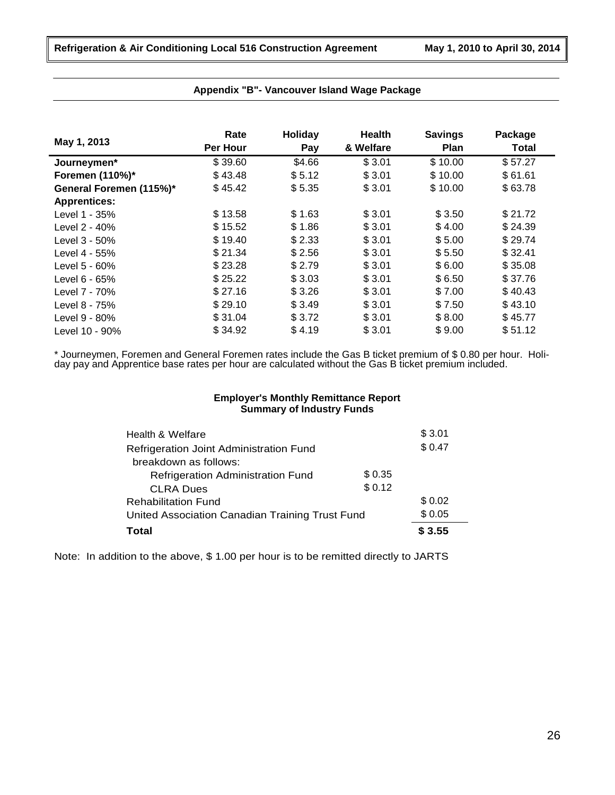| May 1, 2013             | Rate     | <b>Holiday</b> | <b>Health</b> | <b>Savings</b> | Package      |
|-------------------------|----------|----------------|---------------|----------------|--------------|
|                         | Per Hour | Pay            | & Welfare     | Plan           | <b>Total</b> |
| Journeymen*             | \$39.60  | \$4.66         | \$3.01        | \$10.00        | \$57.27      |
| Foremen (110%)*         | \$43.48  | \$5.12         | \$3.01        | \$10.00        | \$61.61      |
| General Foremen (115%)* | \$45.42  | \$5.35         | \$3.01        | \$10.00        | \$63.78      |
| <b>Apprentices:</b>     |          |                |               |                |              |
| Level 1 - 35%           | \$13.58  | \$1.63         | \$3.01        | \$3.50         | \$21.72      |
| Level 2 - 40%           | \$15.52  | \$1.86         | \$3.01        | \$4.00         | \$24.39      |
| Level 3 - 50%           | \$19.40  | \$2.33         | \$3.01        | \$5.00         | \$29.74      |
| Level 4 - 55%           | \$21.34  | \$2.56         | \$3.01        | \$5.50         | \$32.41      |
| Level 5 - 60%           | \$23.28  | \$2.79         | \$3.01        | \$6.00         | \$35.08      |
| Level 6 - 65%           | \$25.22  | \$3.03         | \$3.01        | \$6.50         | \$37.76      |
| Level 7 - 70%           | \$27.16  | \$3.26         | \$3.01        | \$7.00         | \$40.43      |
| Level 8 - 75%           | \$29.10  | \$3.49         | \$3.01        | \$7.50         | \$43.10      |
| Level 9 - 80%           | \$31.04  | \$3.72         | \$3.01        | \$8.00         | \$45.77      |
| Level 10 - 90%          | \$34.92  | \$4.19         | \$3.01        | \$9.00         | \$51.12      |

\* Journeymen, Foremen and General Foremen rates include the Gas B ticket premium of \$ 0.80 per hour. Holiday pay and Apprentice base rates per hour are calculated without the Gas B ticket premium included.

# **Employer's Monthly Remittance Report Summary of Industry Funds**

| Health & Welfare                                |         | \$3.01 |
|-------------------------------------------------|---------|--------|
| Refrigeration Joint Administration Fund         |         | \$0.47 |
| breakdown as follows:                           |         |        |
| <b>Refrigeration Administration Fund</b>        | \$ 0.35 |        |
| <b>CLRA Dues</b>                                | \$0.12  |        |
| <b>Rehabilitation Fund</b>                      |         | \$0.02 |
| United Association Canadian Training Trust Fund | \$0.05  |        |
| <b>Total</b>                                    |         | \$3.55 |

Note: In addition to the above, \$ 1.00 per hour is to be remitted directly to JARTS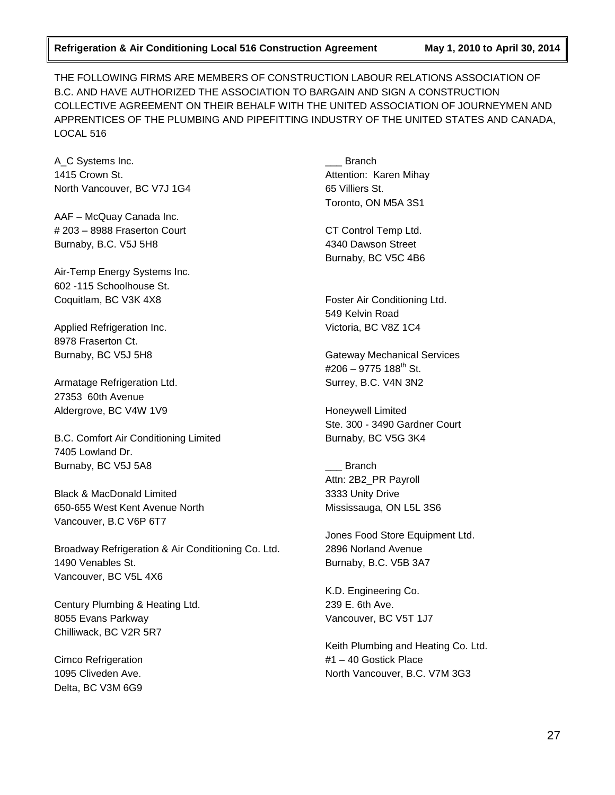THE FOLLOWING FIRMS ARE MEMBERS OF CONSTRUCTION LABOUR RELATIONS ASSOCIATION OF B.C. AND HAVE AUTHORIZED THE ASSOCIATION TO BARGAIN AND SIGN A CONSTRUCTION COLLECTIVE AGREEMENT ON THEIR BEHALF WITH THE UNITED ASSOCIATION OF JOURNEYMEN AND APPRENTICES OF THE PLUMBING AND PIPEFITTING INDUSTRY OF THE UNITED STATES AND CANADA, LOCAL 516

A\_C Systems Inc. 1415 Crown St. North Vancouver, BC V7J 1G4

AAF – McQuay Canada Inc. # 203 – 8988 Fraserton Court Burnaby, B.C. V5J 5H8

Air-Temp Energy Systems Inc. 602 -115 Schoolhouse St. Coquitlam, BC V3K 4X8

Applied Refrigeration Inc. 8978 Fraserton Ct. Burnaby, BC V5J 5H8

Armatage Refrigeration Ltd. 27353 60th Avenue Aldergrove, BC V4W 1V9

B.C. Comfort Air Conditioning Limited 7405 Lowland Dr. Burnaby, BC V5J 5A8

Black & MacDonald Limited 650-655 West Kent Avenue North Vancouver, B.C V6P 6T7

Broadway Refrigeration & Air Conditioning Co. Ltd. 1490 Venables St. Vancouver, BC V5L 4X6

Century Plumbing & Heating Ltd. 8055 Evans Parkway Chilliwack, BC V2R 5R7

Cimco Refrigeration 1095 Cliveden Ave. Delta, BC V3M 6G9

\_\_\_ Branch Attention: Karen Mihay 65 Villiers St. Toronto, ON M5A 3S1

CT Control Temp Ltd. 4340 Dawson Street Burnaby, BC V5C 4B6

Foster Air Conditioning Ltd. 549 Kelvin Road Victoria, BC V8Z 1C4

Gateway Mechanical Services #206 – 9775 188<sup>th</sup> St. Surrey, B.C. V4N 3N2

Honeywell Limited Ste. 300 - 3490 Gardner Court Burnaby, BC V5G 3K4

\_\_\_ Branch Attn: 2B2\_PR Payroll 3333 Unity Drive Mississauga, ON L5L 3S6

Jones Food Store Equipment Ltd. 2896 Norland Avenue Burnaby, B.C. V5B 3A7

K.D. Engineering Co. 239 E. 6th Ave. Vancouver, BC V5T 1J7

Keith Plumbing and Heating Co. Ltd. #1 – 40 Gostick Place North Vancouver, B.C. V7M 3G3